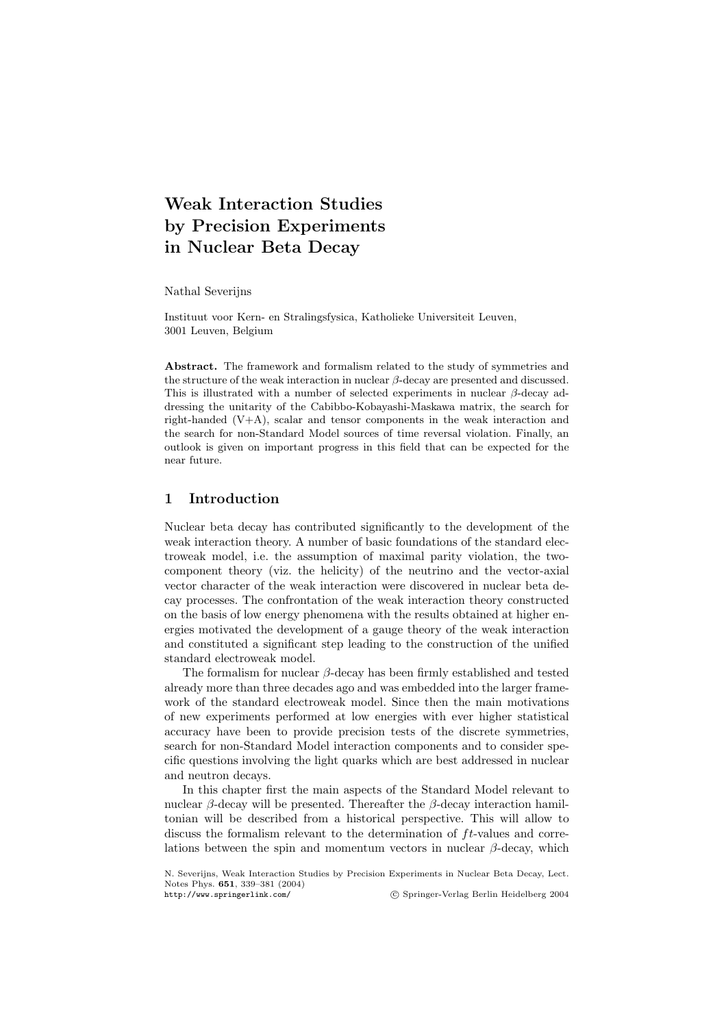# **Weak Interaction Studies by Precision Experiments in Nuclear Beta Decay**

Nathal Severijns

Instituut voor Kern- en Stralingsfysica, Katholieke Universiteit Leuven, 3001 Leuven, Belgium

**Abstract.** The framework and formalism related to the study of symmetries and the structure of the weak interaction in nuclear  $\beta$ -decay are presented and discussed. This is illustrated with a number of selected experiments in nuclear  $\beta$ -decay addressing the unitarity of the Cabibbo-Kobayashi-Maskawa matrix, the search for right-handed  $(V+A)$ , scalar and tensor components in the weak interaction and the search for non-Standard Model sources of time reversal violation. Finally, an outlook is given on important progress in this field that can be expected for the near future.

# **1 Introduction**

Nuclear beta decay has contributed significantly to the development of the weak interaction theory. A number of basic foundations of the standard electroweak model, i.e. the assumption of maximal parity violation, the twocomponent theory (viz. the helicity) of the neutrino and the vector-axial vector character of the weak interaction were discovered in nuclear beta decay processes. The confrontation of the weak interaction theory constructed on the basis of low energy phenomena with the results obtained at higher energies motivated the development of a gauge theory of the weak interaction and constituted a significant step leading to the construction of the unified standard electroweak model.

The formalism for nuclear  $\beta$ -decay has been firmly established and tested already more than three decades ago and was embedded into the larger framework of the standard electroweak model. Since then the main motivations of new experiments performed at low energies with ever higher statistical accuracy have been to provide precision tests of the discrete symmetries, search for non-Standard Model interaction components and to consider specific questions involving the light quarks which are best addressed in nuclear and neutron decays.

In this chapter first the main aspects of the Standard Model relevant to nuclear  $\beta$ -decay will be presented. Thereafter the  $\beta$ -decay interaction hamiltonian will be described from a historical perspective. This will allow to discuss the formalism relevant to the determination of  $ft$ -values and correlations between the spin and momentum vectors in nuclear  $\beta$ -decay, which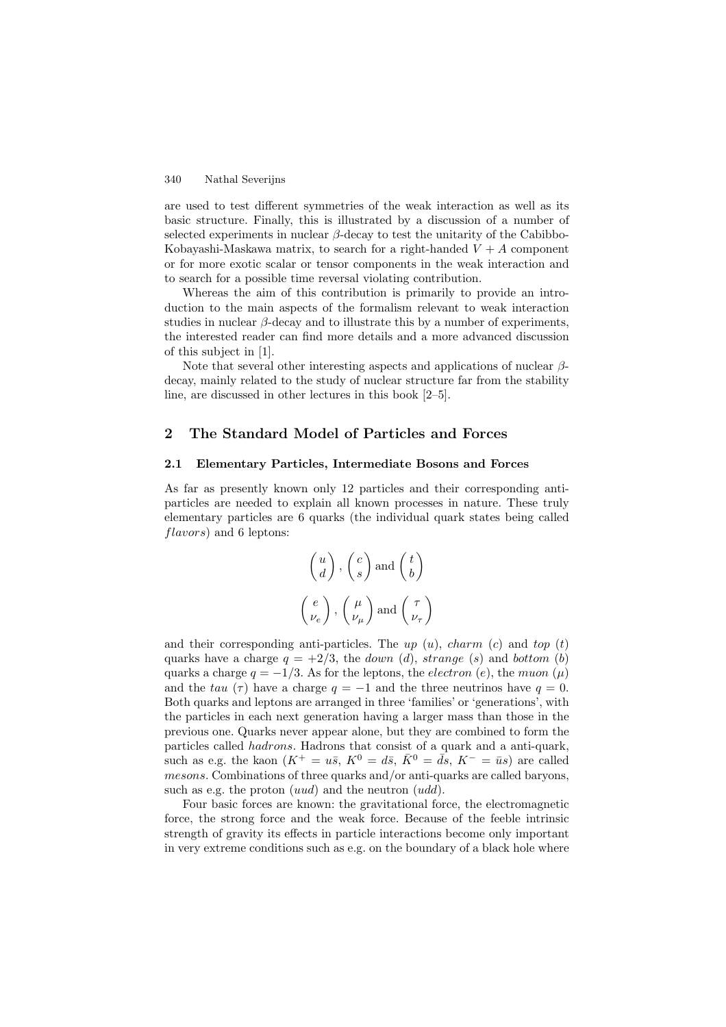are used to test different symmetries of the weak interaction as well as its basic structure. Finally, this is illustrated by a discussion of a number of selected experiments in nuclear  $\beta$ -decay to test the unitarity of the Cabibbo-Kobayashi-Maskawa matrix, to search for a right-handed  $V + A$  component or for more exotic scalar or tensor components in the weak interaction and to search for a possible time reversal violating contribution.

Whereas the aim of this contribution is primarily to provide an introduction to the main aspects of the formalism relevant to weak interaction studies in nuclear  $\beta$ -decay and to illustrate this by a number of experiments, the interested reader can find more details and a more advanced discussion of this subject in [1].

Note that several other interesting aspects and applications of nuclear  $\beta$ decay, mainly related to the study of nuclear structure far from the stability line, are discussed in other lectures in this book [2–5].

# **2 The Standard Model of Particles and Forces**

# **2.1 Elementary Particles, Intermediate Bosons and Forces**

As far as presently known only 12 particles and their corresponding antiparticles are needed to explain all known processes in nature. These truly elementary particles are 6 quarks (the individual quark states being called flavors) and 6 leptons:

$$
\begin{pmatrix} u \\ d \end{pmatrix}, \begin{pmatrix} c \\ s \end{pmatrix} \text{and } \begin{pmatrix} t \\ b \end{pmatrix}
$$

$$
\begin{pmatrix} e \\ \nu_e \end{pmatrix}, \begin{pmatrix} \mu \\ \nu_\mu \end{pmatrix} \text{and } \begin{pmatrix} \tau \\ \nu_\tau \end{pmatrix}
$$

and their corresponding anti-particles. The up  $(u)$ , charm  $(c)$  and top  $(t)$ quarks have a charge  $q = \pm 2/3$ , the *down* (d), *strange* (s) and *bottom* (b) quarks a charge  $q = -1/3$ . As for the leptons, the electron (e), the muon ( $\mu$ ) and the tau  $(\tau)$  have a charge  $q = -1$  and the three neutrinos have  $q = 0$ . Both quarks and leptons are arranged in three 'families' or 'generations', with the particles in each next generation having a larger mass than those in the previous one. Quarks never appear alone, but they are combined to form the particles called hadrons. Hadrons that consist of a quark and a anti-quark, such as e.g. the kaon  $(K^+ = u\bar{s}, K^0 = d\bar{s}, \bar{K}^0 = \bar{d}s, K^- = \bar{u}s)$  are called mesons. Combinations of three quarks and/or anti-quarks are called baryons, such as e.g. the proton  $(uud)$  and the neutron  $(udd)$ .

Four basic forces are known: the gravitational force, the electromagnetic force, the strong force and the weak force. Because of the feeble intrinsic strength of gravity its effects in particle interactions become only important in very extreme conditions such as e.g. on the boundary of a black hole where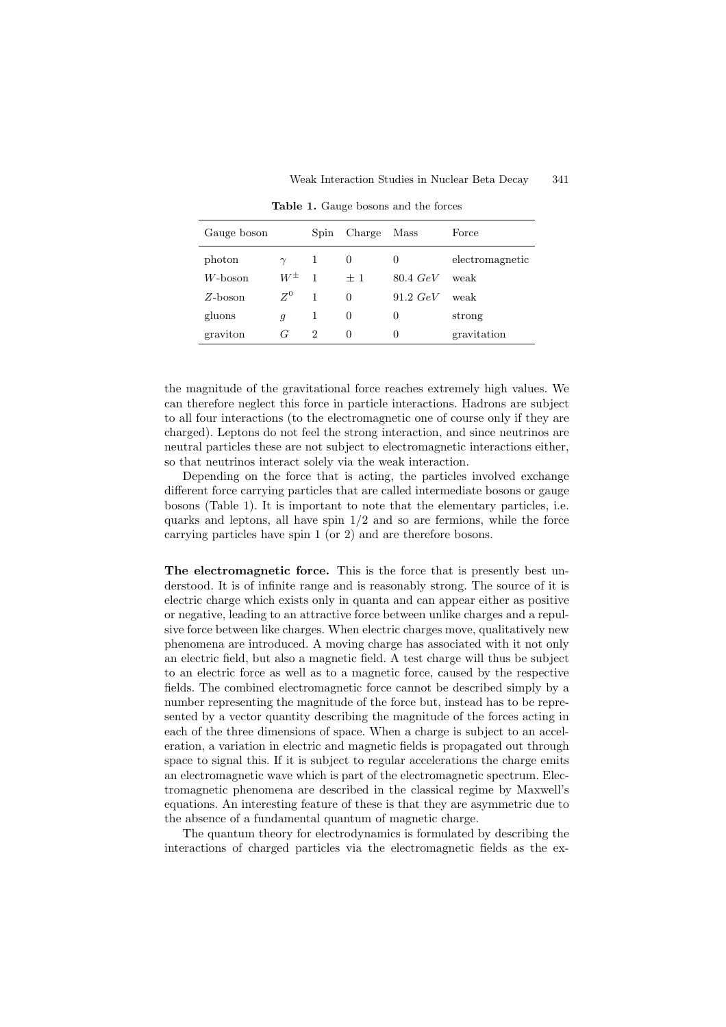| Gauge boson |           | Spin         | Charge   | Mass     | Force           |
|-------------|-----------|--------------|----------|----------|-----------------|
| photon      | $\gamma$  | 1            | 0        | O        | electromagnetic |
| $W$ -boson  | $W^{\pm}$ | $\mathbf{1}$ | $+1$     | 80.4 GeV | weak            |
| $Z$ -boson  | $Z^0$     | $\mathbf{1}$ | $\Omega$ | 91.2~GeV | weak            |
| gluons      | q         | 1            | 0        | 0        | strong          |
| graviton    | G         | 2            | $\theta$ | 0        | gravitation     |

**Table 1.** Gauge bosons and the forces

the magnitude of the gravitational force reaches extremely high values. We can therefore neglect this force in particle interactions. Hadrons are subject to all four interactions (to the electromagnetic one of course only if they are charged). Leptons do not feel the strong interaction, and since neutrinos are neutral particles these are not subject to electromagnetic interactions either, so that neutrinos interact solely via the weak interaction.

Depending on the force that is acting, the particles involved exchange different force carrying particles that are called intermediate bosons or gauge bosons (Table 1). It is important to note that the elementary particles, i.e. quarks and leptons, all have spin  $1/2$  and so are fermions, while the force carrying particles have spin 1 (or 2) and are therefore bosons.

**The electromagnetic force.** This is the force that is presently best understood. It is of infinite range and is reasonably strong. The source of it is electric charge which exists only in quanta and can appear either as positive or negative, leading to an attractive force between unlike charges and a repulsive force between like charges. When electric charges move, qualitatively new phenomena are introduced. A moving charge has associated with it not only an electric field, but also a magnetic field. A test charge will thus be subject to an electric force as well as to a magnetic force, caused by the respective fields. The combined electromagnetic force cannot be described simply by a number representing the magnitude of the force but, instead has to be represented by a vector quantity describing the magnitude of the forces acting in each of the three dimensions of space. When a charge is subject to an acceleration, a variation in electric and magnetic fields is propagated out through space to signal this. If it is subject to regular accelerations the charge emits an electromagnetic wave which is part of the electromagnetic spectrum. Electromagnetic phenomena are described in the classical regime by Maxwell's equations. An interesting feature of these is that they are asymmetric due to the absence of a fundamental quantum of magnetic charge.

The quantum theory for electrodynamics is formulated by describing the interactions of charged particles via the electromagnetic fields as the ex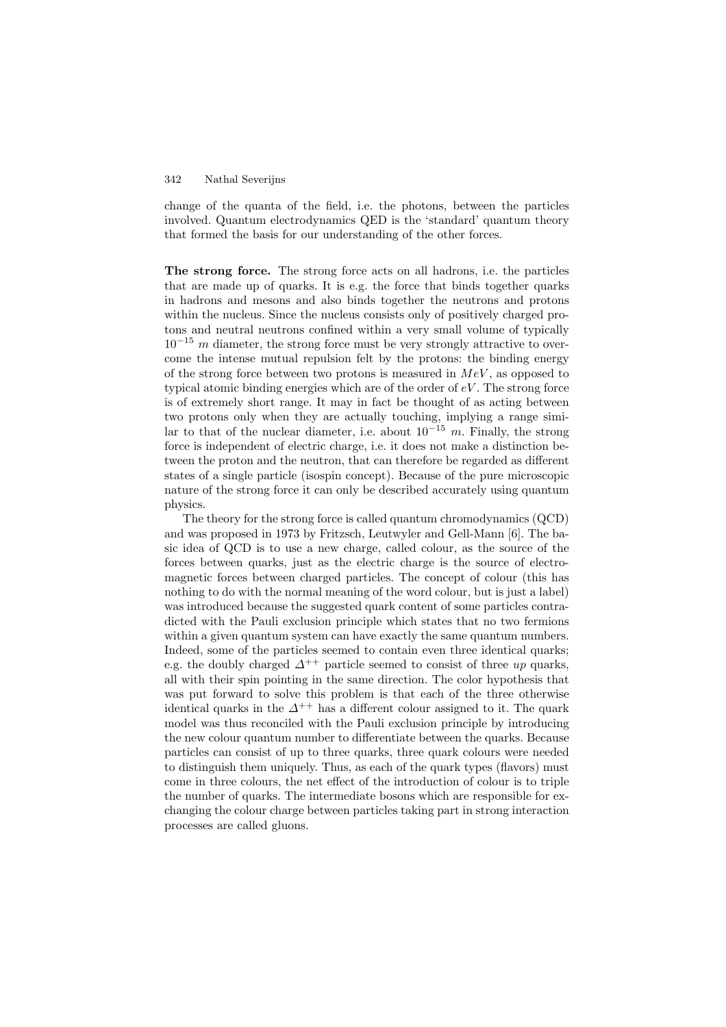change of the quanta of the field, i.e. the photons, between the particles involved. Quantum electrodynamics QED is the 'standard' quantum theory that formed the basis for our understanding of the other forces.

**The strong force.** The strong force acts on all hadrons, i.e. the particles that are made up of quarks. It is e.g. the force that binds together quarks in hadrons and mesons and also binds together the neutrons and protons within the nucleus. Since the nucleus consists only of positively charged protons and neutral neutrons confined within a very small volume of typically  $10^{-15}$  m diameter, the strong force must be very strongly attractive to overcome the intense mutual repulsion felt by the protons: the binding energy of the strong force between two protons is measured in  $MeV$ , as opposed to typical atomic binding energies which are of the order of  $eV$ . The strong force is of extremely short range. It may in fact be thought of as acting between two protons only when they are actually touching, implying a range similar to that of the nuclear diameter, i.e. about  $10^{-15}$  m. Finally, the strong force is independent of electric charge, i.e. it does not make a distinction between the proton and the neutron, that can therefore be regarded as different states of a single particle (isospin concept). Because of the pure microscopic nature of the strong force it can only be described accurately using quantum physics.

The theory for the strong force is called quantum chromodynamics (QCD) and was proposed in 1973 by Fritzsch, Leutwyler and Gell-Mann [6]. The basic idea of QCD is to use a new charge, called colour, as the source of the forces between quarks, just as the electric charge is the source of electromagnetic forces between charged particles. The concept of colour (this has nothing to do with the normal meaning of the word colour, but is just a label) was introduced because the suggested quark content of some particles contradicted with the Pauli exclusion principle which states that no two fermions within a given quantum system can have exactly the same quantum numbers. Indeed, some of the particles seemed to contain even three identical quarks; e.g. the doubly charged  $\Delta^{++}$  particle seemed to consist of three up quarks, all with their spin pointing in the same direction. The color hypothesis that was put forward to solve this problem is that each of the three otherwise identical quarks in the  $\Delta^{++}$  has a different colour assigned to it. The quark model was thus reconciled with the Pauli exclusion principle by introducing the new colour quantum number to differentiate between the quarks. Because particles can consist of up to three quarks, three quark colours were needed to distinguish them uniquely. Thus, as each of the quark types (flavors) must come in three colours, the net effect of the introduction of colour is to triple the number of quarks. The intermediate bosons which are responsible for exchanging the colour charge between particles taking part in strong interaction processes are called gluons.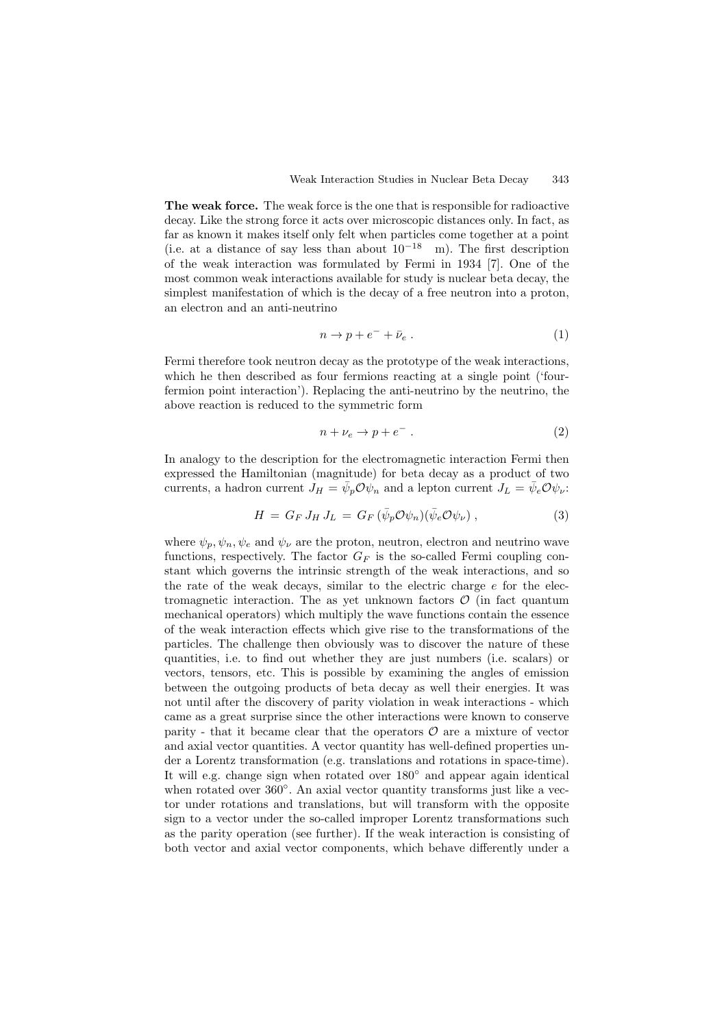**The weak force.** The weak force is the one that is responsible for radioactive decay. Like the strong force it acts over microscopic distances only. In fact, as far as known it makes itself only felt when particles come together at a point (i.e. at a distance of say less than about  $10^{-18}$  m). The first description of the weak interaction was formulated by Fermi in 1934 [7]. One of the most common weak interactions available for study is nuclear beta decay, the simplest manifestation of which is the decay of a free neutron into a proton, an electron and an anti-neutrino

$$
n \to p + e^- + \bar{\nu}_e \ . \tag{1}
$$

Fermi therefore took neutron decay as the prototype of the weak interactions, which he then described as four fermions reacting at a single point ('fourfermion point interaction'). Replacing the anti-neutrino by the neutrino, the above reaction is reduced to the symmetric form

$$
n + \nu_e \to p + e^- \tag{2}
$$

In analogy to the description for the electromagnetic interaction Fermi then expressed the Hamiltonian (magnitude) for beta decay as a product of two currents, a hadron current  $J_H = \bar{\psi}_n \mathcal{O} \psi_n$  and a lepton current  $J_L = \bar{\psi}_e \mathcal{O} \psi_\nu$ :

$$
H = G_F J_H J_L = G_F (\bar{\psi}_p \mathcal{O} \psi_n) (\bar{\psi}_e \mathcal{O} \psi_\nu) , \qquad (3)
$$

where  $\psi_p, \psi_n, \psi_e$  and  $\psi_\nu$  are the proton, neutron, electron and neutrino wave functions, respectively. The factor  $G_F$  is the so-called Fermi coupling constant which governs the intrinsic strength of the weak interactions, and so the rate of the weak decays, similar to the electric charge  $e$  for the electromagnetic interaction. The as yet unknown factors  $\mathcal O$  (in fact quantum mechanical operators) which multiply the wave functions contain the essence of the weak interaction effects which give rise to the transformations of the particles. The challenge then obviously was to discover the nature of these quantities, i.e. to find out whether they are just numbers (i.e. scalars) or vectors, tensors, etc. This is possible by examining the angles of emission between the outgoing products of beta decay as well their energies. It was not until after the discovery of parity violation in weak interactions - which came as a great surprise since the other interactions were known to conserve parity - that it became clear that the operators  $\mathcal O$  are a mixture of vector and axial vector quantities. A vector quantity has well-defined properties under a Lorentz transformation (e.g. translations and rotations in space-time). It will e.g. change sign when rotated over 180◦ and appear again identical when rotated over 360°. An axial vector quantity transforms just like a vector under rotations and translations, but will transform with the opposite sign to a vector under the so-called improper Lorentz transformations such as the parity operation (see further). If the weak interaction is consisting of both vector and axial vector components, which behave differently under a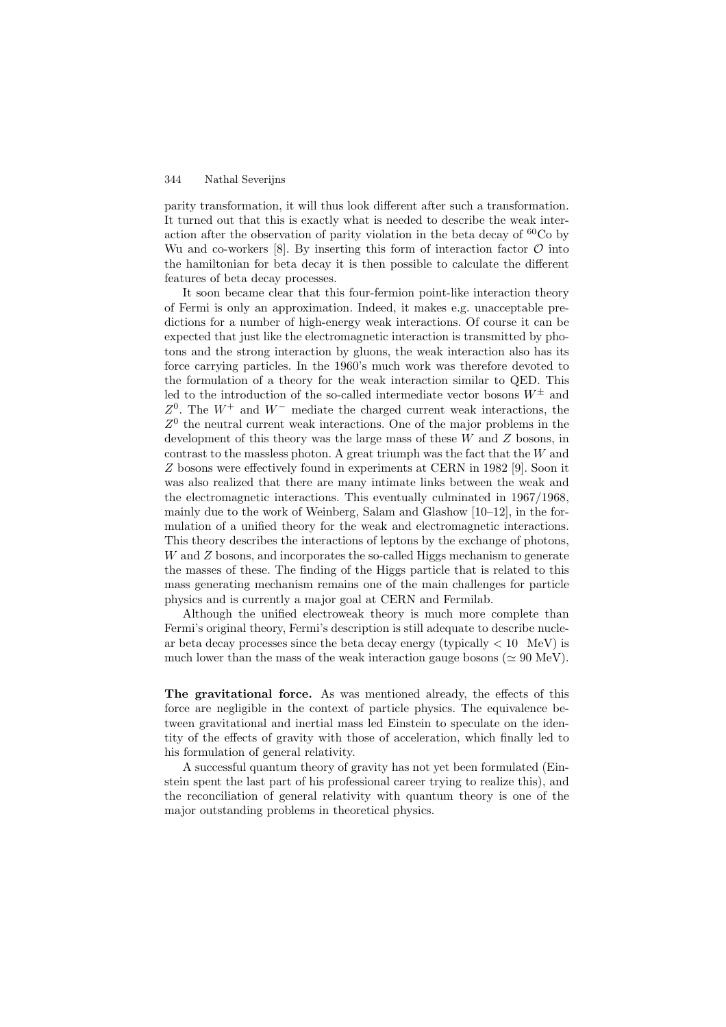parity transformation, it will thus look different after such a transformation. It turned out that this is exactly what is needed to describe the weak interaction after the observation of parity violation in the beta decay of  ${}^{60}Co$  by Wu and co-workers [8]. By inserting this form of interaction factor  $\mathcal O$  into the hamiltonian for beta decay it is then possible to calculate the different features of beta decay processes.

It soon became clear that this four-fermion point-like interaction theory of Fermi is only an approximation. Indeed, it makes e.g. unacceptable predictions for a number of high-energy weak interactions. Of course it can be expected that just like the electromagnetic interaction is transmitted by photons and the strong interaction by gluons, the weak interaction also has its force carrying particles. In the 1960's much work was therefore devoted to the formulation of a theory for the weak interaction similar to QED. This led to the introduction of the so-called intermediate vector bosons  $W^{\pm}$  and  $Z<sup>0</sup>$ . The  $W<sup>+</sup>$  and  $W<sup>-</sup>$  mediate the charged current weak interactions, the  $Z<sup>0</sup>$  the neutral current weak interactions. One of the major problems in the development of this theory was the large mass of these W and Z bosons, in contrast to the massless photon. A great triumph was the fact that the W and Z bosons were effectively found in experiments at CERN in 1982 [9]. Soon it was also realized that there are many intimate links between the weak and the electromagnetic interactions. This eventually culminated in 1967/1968, mainly due to the work of Weinberg, Salam and Glashow [10–12], in the formulation of a unified theory for the weak and electromagnetic interactions. This theory describes the interactions of leptons by the exchange of photons, W and Z bosons, and incorporates the so-called Higgs mechanism to generate the masses of these. The finding of the Higgs particle that is related to this mass generating mechanism remains one of the main challenges for particle physics and is currently a major goal at CERN and Fermilab.

Although the unified electroweak theory is much more complete than Fermi's original theory, Fermi's description is still adequate to describe nuclear beta decay processes since the beta decay energy (typically  $< 10$  MeV) is much lower than the mass of the weak interaction gauge bosons ( $\simeq 90 \text{ MeV}$ ).

**The gravitational force.** As was mentioned already, the effects of this force are negligible in the context of particle physics. The equivalence between gravitational and inertial mass led Einstein to speculate on the identity of the effects of gravity with those of acceleration, which finally led to his formulation of general relativity.

A successful quantum theory of gravity has not yet been formulated (Einstein spent the last part of his professional career trying to realize this), and the reconciliation of general relativity with quantum theory is one of the major outstanding problems in theoretical physics.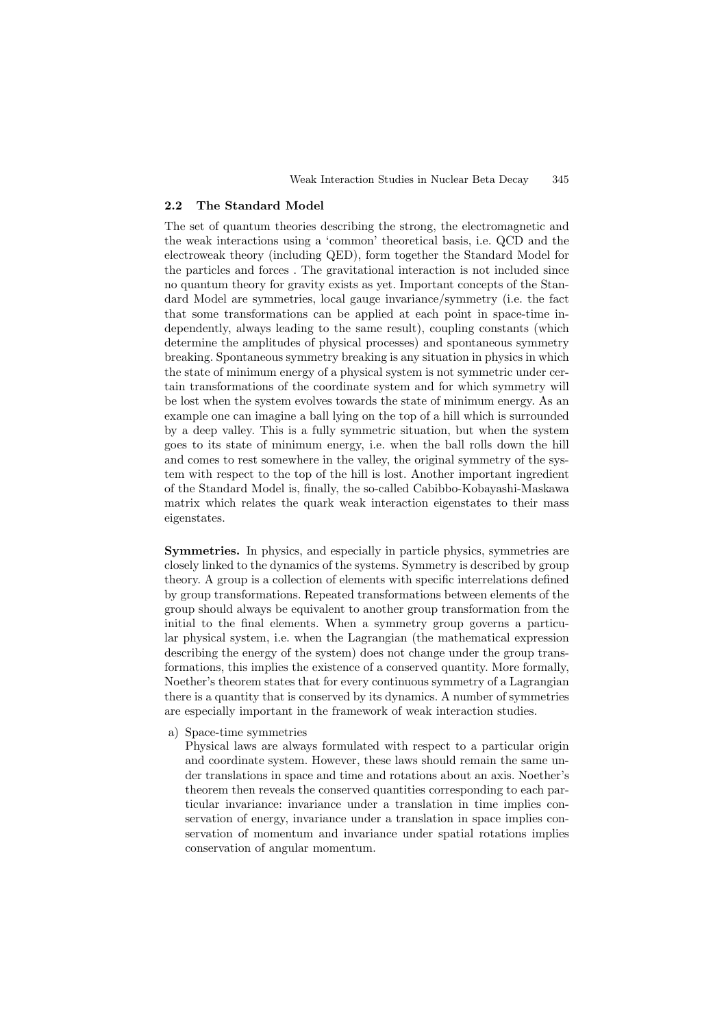### **2.2 The Standard Model**

The set of quantum theories describing the strong, the electromagnetic and the weak interactions using a 'common' theoretical basis, i.e. QCD and the electroweak theory (including QED), form together the Standard Model for the particles and forces . The gravitational interaction is not included since no quantum theory for gravity exists as yet. Important concepts of the Standard Model are symmetries, local gauge invariance/symmetry (i.e. the fact that some transformations can be applied at each point in space-time independently, always leading to the same result), coupling constants (which determine the amplitudes of physical processes) and spontaneous symmetry breaking. Spontaneous symmetry breaking is any situation in physics in which the state of minimum energy of a physical system is not symmetric under certain transformations of the coordinate system and for which symmetry will be lost when the system evolves towards the state of minimum energy. As an example one can imagine a ball lying on the top of a hill which is surrounded by a deep valley. This is a fully symmetric situation, but when the system goes to its state of minimum energy, i.e. when the ball rolls down the hill and comes to rest somewhere in the valley, the original symmetry of the system with respect to the top of the hill is lost. Another important ingredient of the Standard Model is, finally, the so-called Cabibbo-Kobayashi-Maskawa matrix which relates the quark weak interaction eigenstates to their mass eigenstates.

**Symmetries.** In physics, and especially in particle physics, symmetries are closely linked to the dynamics of the systems. Symmetry is described by group theory. A group is a collection of elements with specific interrelations defined by group transformations. Repeated transformations between elements of the group should always be equivalent to another group transformation from the initial to the final elements. When a symmetry group governs a particular physical system, i.e. when the Lagrangian (the mathematical expression describing the energy of the system) does not change under the group transformations, this implies the existence of a conserved quantity. More formally, Noether's theorem states that for every continuous symmetry of a Lagrangian there is a quantity that is conserved by its dynamics. A number of symmetries are especially important in the framework of weak interaction studies.

a) Space-time symmetries

Physical laws are always formulated with respect to a particular origin and coordinate system. However, these laws should remain the same under translations in space and time and rotations about an axis. Noether's theorem then reveals the conserved quantities corresponding to each particular invariance: invariance under a translation in time implies conservation of energy, invariance under a translation in space implies conservation of momentum and invariance under spatial rotations implies conservation of angular momentum.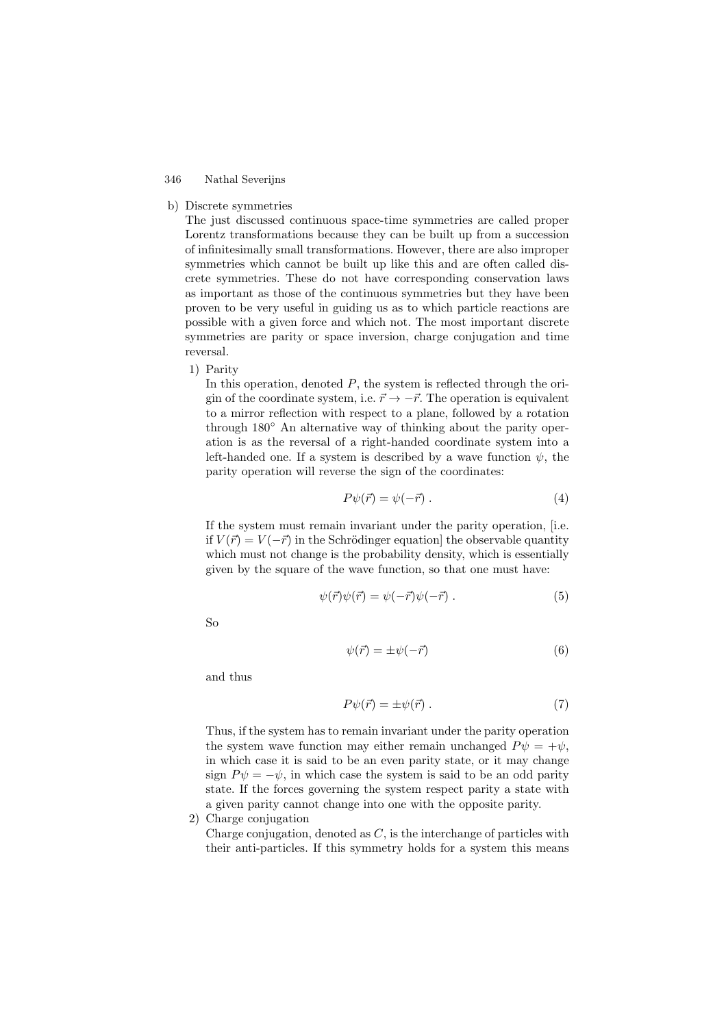#### b) Discrete symmetries

The just discussed continuous space-time symmetries are called proper Lorentz transformations because they can be built up from a succession of infinitesimally small transformations. However, there are also improper symmetries which cannot be built up like this and are often called discrete symmetries. These do not have corresponding conservation laws as important as those of the continuous symmetries but they have been proven to be very useful in guiding us as to which particle reactions are possible with a given force and which not. The most important discrete symmetries are parity or space inversion, charge conjugation and time reversal.

1) Parity

In this operation, denoted  $P$ , the system is reflected through the origin of the coordinate system, i.e.  $\vec{r} \rightarrow -\vec{r}$ . The operation is equivalent to a mirror reflection with respect to a plane, followed by a rotation through 180◦ An alternative way of thinking about the parity operation is as the reversal of a right-handed coordinate system into a left-handed one. If a system is described by a wave function  $\psi$ , the parity operation will reverse the sign of the coordinates:

$$
P\psi(\vec{r}) = \psi(-\vec{r})\,. \tag{4}
$$

If the system must remain invariant under the parity operation, [i.e. if  $V(\vec{r}) = V(-\vec{r})$  in the Schrödinger equation, the observable quantity which must not change is the probability density, which is essentially given by the square of the wave function, so that one must have:

$$
\psi(\vec{r})\psi(\vec{r}) = \psi(-\vec{r})\psi(-\vec{r}) . \tag{5}
$$

So

$$
\psi(\vec{r}) = \pm \psi(-\vec{r})\tag{6}
$$

and thus

$$
P\psi(\vec{r}) = \pm \psi(\vec{r})\,. \tag{7}
$$

Thus, if the system has to remain invariant under the parity operation the system wave function may either remain unchanged  $P\psi = +\psi$ , in which case it is said to be an even parity state, or it may change sign  $P\psi = -\psi$ , in which case the system is said to be an odd parity state. If the forces governing the system respect parity a state with a given parity cannot change into one with the opposite parity.

2) Charge conjugation

Charge conjugation, denoted as  $C$ , is the interchange of particles with their anti-particles. If this symmetry holds for a system this means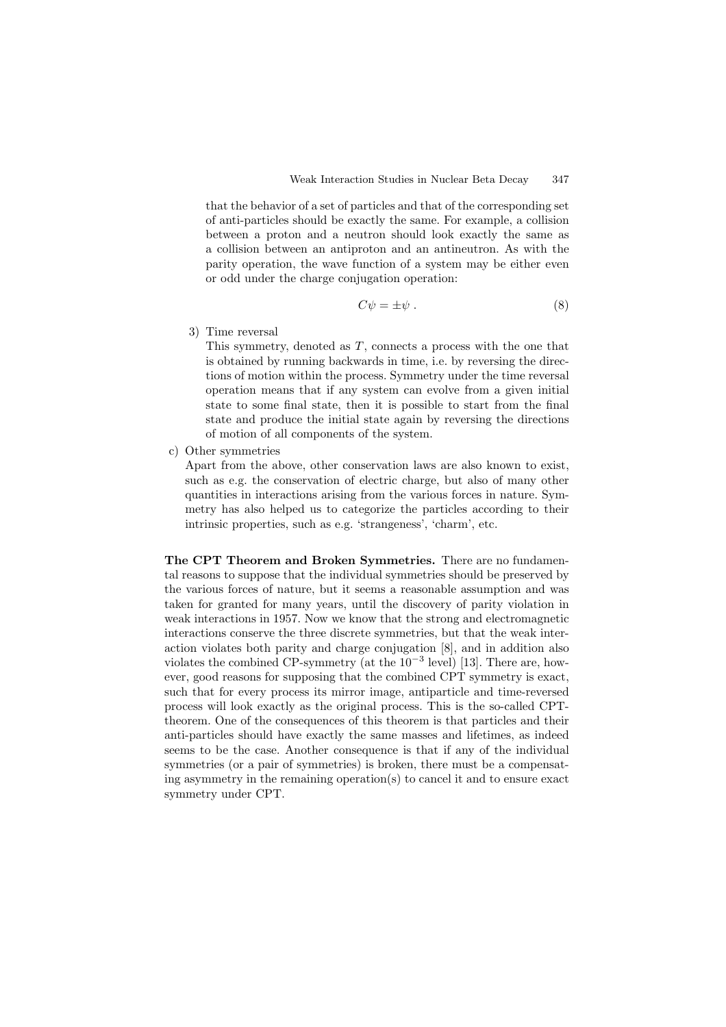that the behavior of a set of particles and that of the corresponding set of anti-particles should be exactly the same. For example, a collision between a proton and a neutron should look exactly the same as a collision between an antiproton and an antineutron. As with the parity operation, the wave function of a system may be either even or odd under the charge conjugation operation:

$$
C\psi = \pm \psi \tag{8}
$$

3) Time reversal

This symmetry, denoted as  $T$ , connects a process with the one that is obtained by running backwards in time, i.e. by reversing the directions of motion within the process. Symmetry under the time reversal operation means that if any system can evolve from a given initial state to some final state, then it is possible to start from the final state and produce the initial state again by reversing the directions of motion of all components of the system.

c) Other symmetries

Apart from the above, other conservation laws are also known to exist, such as e.g. the conservation of electric charge, but also of many other quantities in interactions arising from the various forces in nature. Symmetry has also helped us to categorize the particles according to their intrinsic properties, such as e.g. 'strangeness', 'charm', etc.

**The CPT Theorem and Broken Symmetries.** There are no fundamental reasons to suppose that the individual symmetries should be preserved by the various forces of nature, but it seems a reasonable assumption and was taken for granted for many years, until the discovery of parity violation in weak interactions in 1957. Now we know that the strong and electromagnetic interactions conserve the three discrete symmetries, but that the weak interaction violates both parity and charge conjugation [8], and in addition also violates the combined CP-symmetry (at the  $10^{-3}$  level) [13]. There are, however, good reasons for supposing that the combined CPT symmetry is exact, such that for every process its mirror image, antiparticle and time-reversed process will look exactly as the original process. This is the so-called CPTtheorem. One of the consequences of this theorem is that particles and their anti-particles should have exactly the same masses and lifetimes, as indeed seems to be the case. Another consequence is that if any of the individual symmetries (or a pair of symmetries) is broken, there must be a compensating asymmetry in the remaining operation(s) to cancel it and to ensure exact symmetry under CPT.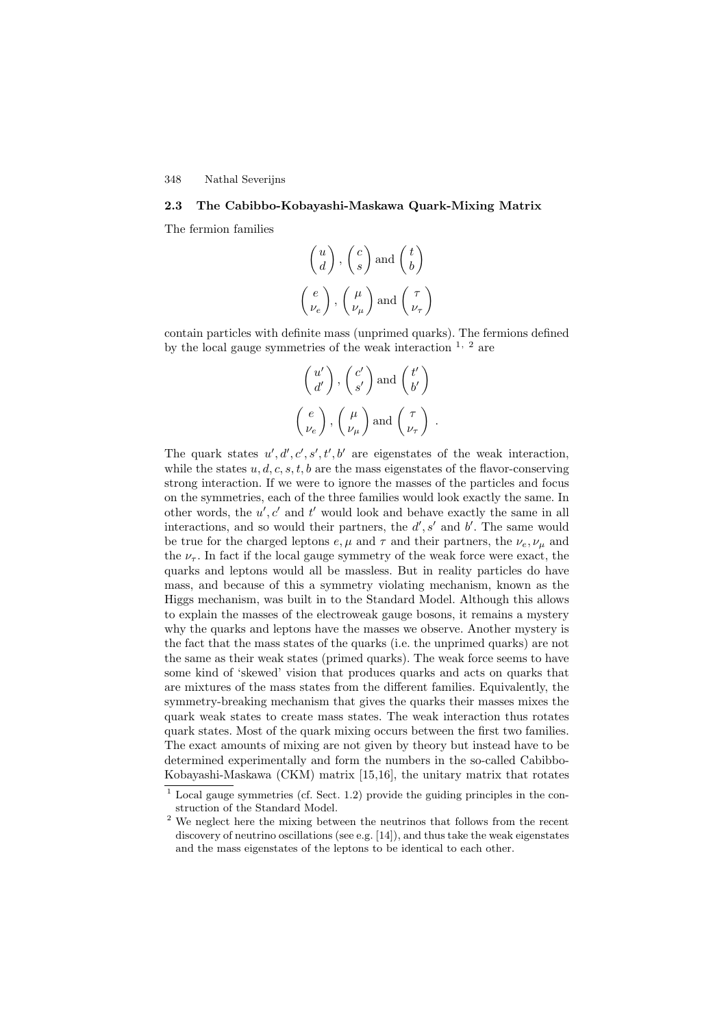#### **2.3 The Cabibbo-Kobayashi-Maskawa Quark-Mixing Matrix**

The fermion families

$$
\begin{pmatrix} u \\ d \end{pmatrix}, \begin{pmatrix} c \\ s \end{pmatrix} \text{and } \begin{pmatrix} t \\ b \end{pmatrix}
$$

$$
\begin{pmatrix} e \\ \nu_e \end{pmatrix}, \begin{pmatrix} \mu \\ \nu_\mu \end{pmatrix} \text{and } \begin{pmatrix} \tau \\ \nu_\tau \end{pmatrix}
$$

contain particles with definite mass (unprimed quarks). The fermions defined by the local gauge symmetries of the weak interaction  $^{1, 2}$  are

$$
\begin{pmatrix} u' \\ d' \end{pmatrix}, \begin{pmatrix} c' \\ s' \end{pmatrix} \text{and } \begin{pmatrix} t' \\ b' \end{pmatrix}
$$

$$
\begin{pmatrix} e \\ \nu_e \end{pmatrix}, \begin{pmatrix} \mu \\ \nu_\mu \end{pmatrix} \text{and } \begin{pmatrix} \tau \\ \nu_\tau \end{pmatrix}.
$$

The quark states  $u', d', c', s', t', b'$  are eigenstates of the weak interaction, while the states  $u, d, c, s, t, b$  are the mass eigenstates of the flavor-conserving strong interaction. If we were to ignore the masses of the particles and focus on the symmetries, each of the three families would look exactly the same. In other words, the  $u', c'$  and  $t'$  would look and behave exactly the same in all interactions, and so would their partners, the  $d', s'$  and  $b'$ . The same would be true for the charged leptons  $e, \mu$  and  $\tau$  and their partners, the  $\nu_e, \nu_\mu$  and the  $\nu_{\tau}$ . In fact if the local gauge symmetry of the weak force were exact, the quarks and leptons would all be massless. But in reality particles do have mass, and because of this a symmetry violating mechanism, known as the Higgs mechanism, was built in to the Standard Model. Although this allows to explain the masses of the electroweak gauge bosons, it remains a mystery why the quarks and leptons have the masses we observe. Another mystery is the fact that the mass states of the quarks (i.e. the unprimed quarks) are not the same as their weak states (primed quarks). The weak force seems to have some kind of 'skewed' vision that produces quarks and acts on quarks that are mixtures of the mass states from the different families. Equivalently, the symmetry-breaking mechanism that gives the quarks their masses mixes the quark weak states to create mass states. The weak interaction thus rotates quark states. Most of the quark mixing occurs between the first two families. The exact amounts of mixing are not given by theory but instead have to be determined experimentally and form the numbers in the so-called Cabibbo-Kobayashi-Maskawa (CKM) matrix [15,16], the unitary matrix that rotates

Local gauge symmetries (cf. Sect. 1.2) provide the guiding principles in the construction of the Standard Model.

 $^2$  We neglect here the mixing between the neutrinos that follows from the recent  $\,$ discovery of neutrino oscillations (see e.g. [14]), and thus take the weak eigenstates and the mass eigenstates of the leptons to be identical to each other.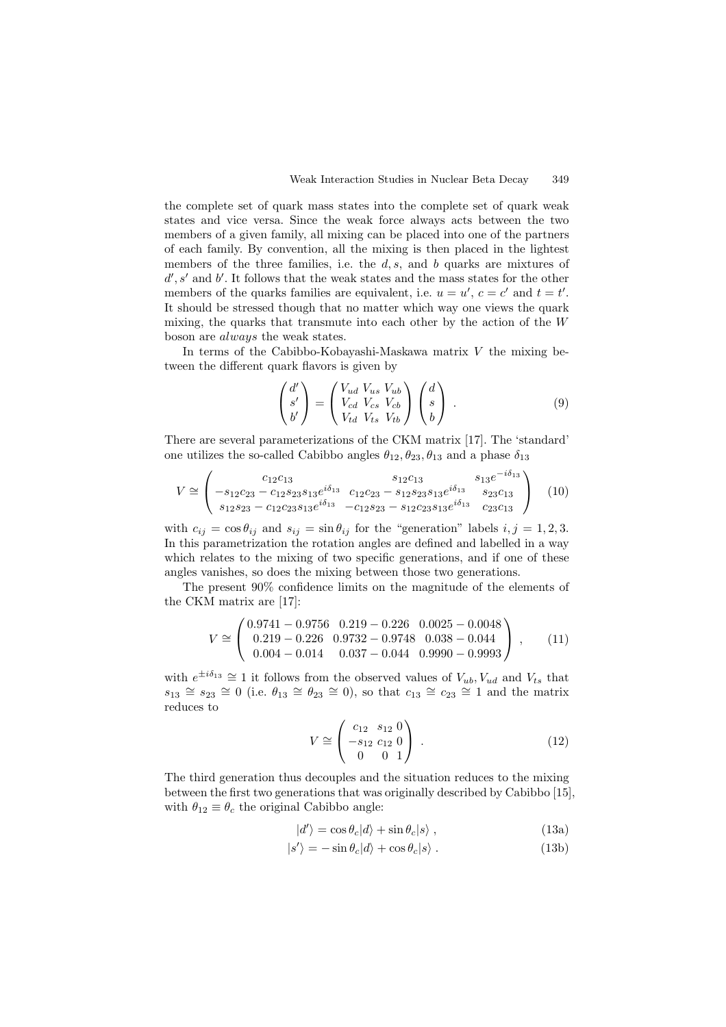the complete set of quark mass states into the complete set of quark weak states and vice versa. Since the weak force always acts between the two members of a given family, all mixing can be placed into one of the partners of each family. By convention, all the mixing is then placed in the lightest members of the three families, i.e. the  $d, s$ , and  $b$  quarks are mixtures of  $d', s'$  and b'. It follows that the weak states and the mass states for the other members of the quarks families are equivalent, i.e.  $u = u'$ ,  $c = c'$  and  $t = t'$ . It should be stressed though that no matter which way one views the quark mixing, the quarks that transmute into each other by the action of the  $W$ boson are always the weak states.

In terms of the Cabibbo-Kobayashi-Maskawa matrix  $V$  the mixing between the different quark flavors is given by

$$
\begin{pmatrix} d' \\ s' \\ b' \end{pmatrix} = \begin{pmatrix} V_{ud} & V_{us} & V_{ub} \\ V_{cd} & V_{cs} & V_{cb} \\ V_{td} & V_{ts} & V_{tb} \end{pmatrix} \begin{pmatrix} d \\ s \\ b \end{pmatrix} . \tag{9}
$$

There are several parameterizations of the CKM matrix [17]. The 'standard' one utilizes the so-called Cabibbo angles  $\theta_{12}, \theta_{23}, \theta_{13}$  and a phase  $\delta_{13}$ 

$$
V \cong \begin{pmatrix} c_{12}c_{13} & s_{12}c_{13} & s_{13}e^{-i\delta_{13}} \\ -s_{12}c_{23} - c_{12}s_{23}s_{13}e^{i\delta_{13}} & c_{12}c_{23} - s_{12}s_{23}s_{13}e^{i\delta_{13}} & s_{23}c_{13} \\ s_{12}s_{23} - c_{12}c_{23}s_{13}e^{i\delta_{13}} & -c_{12}s_{23} - s_{12}c_{23}s_{13}e^{i\delta_{13}} & c_{23}c_{13} \end{pmatrix} (10)
$$

with  $c_{ij} = \cos \theta_{ij}$  and  $s_{ij} = \sin \theta_{ij}$  for the "generation" labels  $i, j = 1, 2, 3$ . In this parametrization the rotation angles are defined and labelled in a way which relates to the mixing of two specific generations, and if one of these angles vanishes, so does the mixing between those two generations.

The present 90% confidence limits on the magnitude of the elements of the CKM matrix are [17]:

$$
V \cong \begin{pmatrix} 0.9741 - 0.9756 & 0.219 - 0.226 & 0.0025 - 0.0048 \\ 0.219 - 0.226 & 0.9732 - 0.9748 & 0.038 - 0.044 \\ 0.004 - 0.014 & 0.037 - 0.044 & 0.9990 - 0.9993 \end{pmatrix},
$$
 (11)

with  $e^{\pm i\delta_{13}} \cong 1$  it follows from the observed values of  $V_{ub}$ ,  $V_{ud}$  and  $V_{ts}$  that  $s_{13} \cong s_{23} \cong 0$  (i.e.  $\theta_{13} \cong \theta_{23} \cong 0$ ), so that  $c_{13} \cong c_{23} \cong 1$  and the matrix reduces to

$$
V \cong \begin{pmatrix} c_{12} & s_{12} & 0 \\ -s_{12} & c_{12} & 0 \\ 0 & 0 & 1 \end{pmatrix} . \tag{12}
$$

The third generation thus decouples and the situation reduces to the mixing between the first two generations that was originally described by Cabibbo [15], with  $\theta_{12} \equiv \theta_c$  the original Cabibbo angle:

$$
|d'\rangle = \cos\theta_c|d\rangle + \sin\theta_c|s\rangle ,\qquad (13a)
$$

$$
|s'\rangle = -\sin\theta_c|d\rangle + \cos\theta_c|s\rangle. \tag{13b}
$$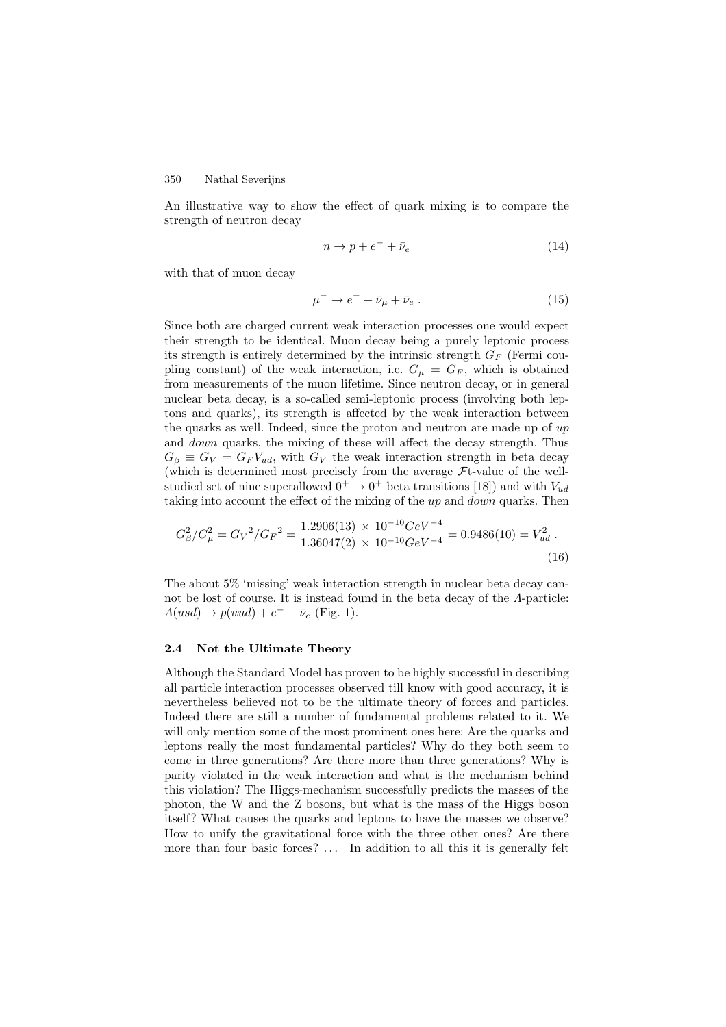An illustrative way to show the effect of quark mixing is to compare the strength of neutron decay

$$
n \to p + e^- + \bar{\nu}_e \tag{14}
$$

with that of muon decay

$$
\mu^- \to e^- + \bar{\nu}_\mu + \bar{\nu}_e \ . \tag{15}
$$

Since both are charged current weak interaction processes one would expect their strength to be identical. Muon decay being a purely leptonic process its strength is entirely determined by the intrinsic strength  $G_F$  (Fermi coupling constant) of the weak interaction, i.e.  $G_{\mu} = G_F$ , which is obtained from measurements of the muon lifetime. Since neutron decay, or in general nuclear beta decay, is a so-called semi-leptonic process (involving both leptons and quarks), its strength is affected by the weak interaction between the quarks as well. Indeed, since the proton and neutron are made up of up and down quarks, the mixing of these will affect the decay strength. Thus  $G_{\beta} \equiv G_V = G_F V_{ud}$ , with  $G_V$  the weak interaction strength in beta decay (which is determined most precisely from the average  $\mathcal{F}$ t-value of the wellstudied set of nine superallowed  $0^+ \rightarrow 0^+$  beta transitions [18]) and with  $V_{ud}$ taking into account the effect of the mixing of the up and down quarks. Then

$$
G_{\beta}^{2}/G_{\mu}^{2} = G_{V}^{2}/G_{F}^{2} = \frac{1.2906(13) \times 10^{-10} GeV^{-4}}{1.36047(2) \times 10^{-10} GeV^{-4}} = 0.9486(10) = V_{ud}^{2}
$$
\n(16)

The about 5% 'missing' weak interaction strength in nuclear beta decay cannot be lost of course. It is instead found in the beta decay of the Λ-particle:  $\Lambda(usd) \rightarrow p(uud) + e^- + \bar{\nu}_e$  (Fig. 1).

#### **2.4 Not the Ultimate Theory**

Although the Standard Model has proven to be highly successful in describing all particle interaction processes observed till know with good accuracy, it is nevertheless believed not to be the ultimate theory of forces and particles. Indeed there are still a number of fundamental problems related to it. We will only mention some of the most prominent ones here: Are the quarks and leptons really the most fundamental particles? Why do they both seem to come in three generations? Are there more than three generations? Why is parity violated in the weak interaction and what is the mechanism behind this violation? The Higgs-mechanism successfully predicts the masses of the photon, the W and the Z bosons, but what is the mass of the Higgs boson itself? What causes the quarks and leptons to have the masses we observe? How to unify the gravitational force with the three other ones? Are there more than four basic forces? ... In addition to all this it is generally felt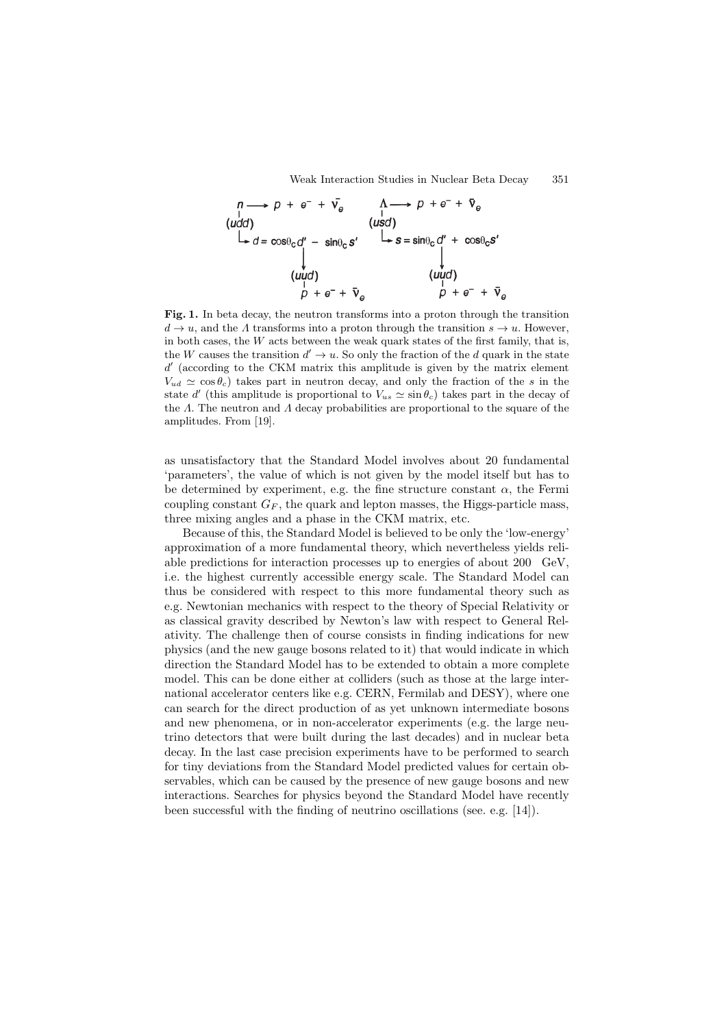

**Fig. 1.** In beta decay, the neutron transforms into a proton through the transition  $d \to u$ , and the  $\Lambda$  transforms into a proton through the transition  $s \to u$ . However, in both cases, the  $W$  acts between the weak quark states of the first family, that is, the W causes the transition  $d' \to u$ . So only the fraction of the d quark in the state  $d'$  (according to the CKM matrix this amplitude is given by the matrix element  $V_{ud} \simeq \cos \theta_c$ ) takes part in neutron decay, and only the fraction of the s in the state d' (this amplitude is proportional to  $V_{us} \simeq \sin \theta_c$ ) takes part in the decay of the  $\Lambda$ . The neutron and  $\Lambda$  decay probabilities are proportional to the square of the amplitudes. From [19].

as unsatisfactory that the Standard Model involves about 20 fundamental 'parameters', the value of which is not given by the model itself but has to be determined by experiment, e.g. the fine structure constant  $\alpha$ , the Fermi coupling constant  $G_F$ , the quark and lepton masses, the Higgs-particle mass, three mixing angles and a phase in the CKM matrix, etc.

Because of this, the Standard Model is believed to be only the 'low-energy' approximation of a more fundamental theory, which nevertheless yields reliable predictions for interaction processes up to energies of about 200 GeV, i.e. the highest currently accessible energy scale. The Standard Model can thus be considered with respect to this more fundamental theory such as e.g. Newtonian mechanics with respect to the theory of Special Relativity or as classical gravity described by Newton's law with respect to General Relativity. The challenge then of course consists in finding indications for new physics (and the new gauge bosons related to it) that would indicate in which direction the Standard Model has to be extended to obtain a more complete model. This can be done either at colliders (such as those at the large international accelerator centers like e.g. CERN, Fermilab and DESY), where one can search for the direct production of as yet unknown intermediate bosons and new phenomena, or in non-accelerator experiments (e.g. the large neutrino detectors that were built during the last decades) and in nuclear beta decay. In the last case precision experiments have to be performed to search for tiny deviations from the Standard Model predicted values for certain observables, which can be caused by the presence of new gauge bosons and new interactions. Searches for physics beyond the Standard Model have recently been successful with the finding of neutrino oscillations (see. e.g. [14]).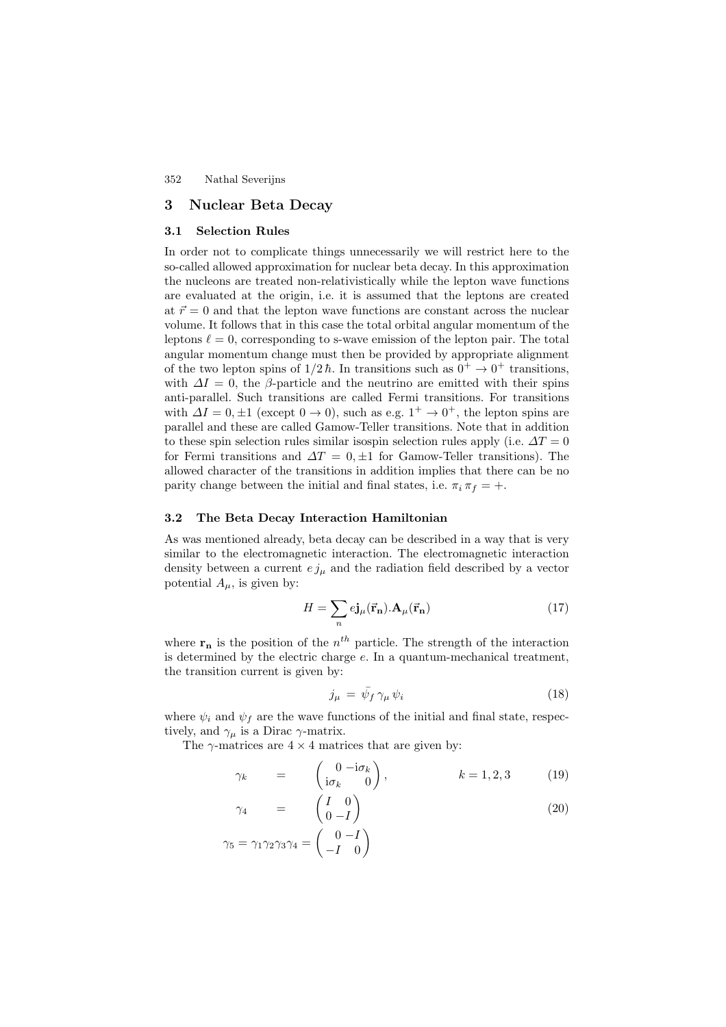# **3 Nuclear Beta Decay**

### **3.1 Selection Rules**

In order not to complicate things unnecessarily we will restrict here to the so-called allowed approximation for nuclear beta decay. In this approximation the nucleons are treated non-relativistically while the lepton wave functions are evaluated at the origin, i.e. it is assumed that the leptons are created at  $\vec{r} = 0$  and that the lepton wave functions are constant across the nuclear volume. It follows that in this case the total orbital angular momentum of the leptons  $\ell = 0$ , corresponding to s-wave emission of the lepton pair. The total angular momentum change must then be provided by appropriate alignment of the two lepton spins of  $1/2 \hbar$ . In transitions such as  $0^+ \rightarrow 0^+$  transitions, with  $\Delta I = 0$ , the β-particle and the neutrino are emitted with their spins anti-parallel. Such transitions are called Fermi transitions. For transitions with  $\Delta I = 0, \pm 1$  (except  $0 \to 0$ ), such as e.g.  $1^+ \to 0^+$ , the lepton spins are parallel and these are called Gamow-Teller transitions. Note that in addition to these spin selection rules similar isospin selection rules apply (i.e.  $\Delta T = 0$ for Fermi transitions and  $\Delta T = 0, \pm 1$  for Gamow-Teller transitions). The allowed character of the transitions in addition implies that there can be no parity change between the initial and final states, i.e.  $\pi_i \pi_f = +$ .

## **3.2 The Beta Decay Interaction Hamiltonian**

As was mentioned already, beta decay can be described in a way that is very similar to the electromagnetic interaction. The electromagnetic interaction density between a current  $e j<sub>\mu</sub>$  and the radiation field described by a vector potential  $A_{\mu}$ , is given by:

$$
H = \sum_{n} \epsilon \mathbf{j}_{\mu}(\vec{\mathbf{r}}_{n}).\mathbf{A}_{\mu}(\vec{\mathbf{r}}_{n})
$$
\n(17)

where  $\mathbf{r}_n$  is the position of the  $n^{th}$  particle. The strength of the interaction is determined by the electric charge e. In a quantum-mechanical treatment, the transition current is given by:

$$
j_{\mu} = \bar{\psi}_f \gamma_{\mu} \psi_i \tag{18}
$$

where  $\psi_i$  and  $\psi_f$  are the wave functions of the initial and final state, respectively, and  $\gamma_{\mu}$  is a Dirac  $\gamma$ -matrix.

The  $\gamma$ -matrices are  $4 \times 4$  matrices that are given by:

$$
\gamma_k = \begin{pmatrix} 0 & -i\sigma_k \\ i\sigma_k & 0 \end{pmatrix}, \qquad k = 1, 2, 3 \qquad (19)
$$

$$
\gamma_4 = \begin{pmatrix} I & 0 \\ 0 & -I \end{pmatrix}
$$
  

$$
\gamma_5 = \gamma_1 \gamma_2 \gamma_3 \gamma_4 = \begin{pmatrix} 0 & -I \\ -I & 0 \end{pmatrix}
$$
 (20)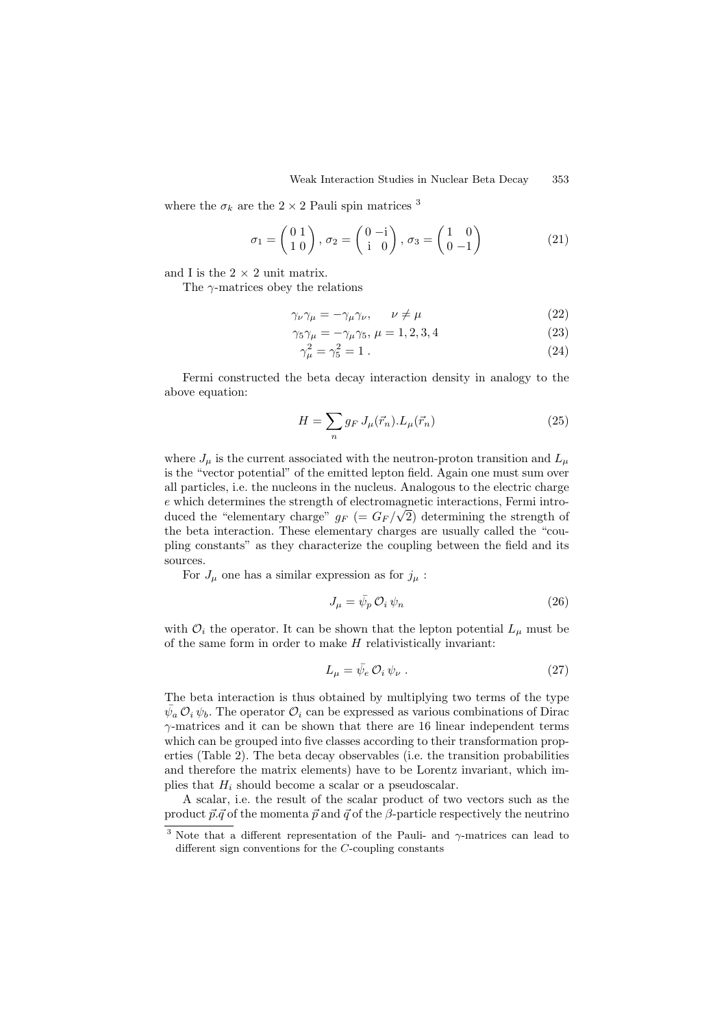where the  $\sigma_k$  are the 2 × 2 Pauli spin matrices <sup>3</sup>

$$
\sigma_1 = \begin{pmatrix} 0 & 1 \\ 1 & 0 \end{pmatrix}, \sigma_2 = \begin{pmatrix} 0 & -i \\ i & 0 \end{pmatrix}, \sigma_3 = \begin{pmatrix} 1 & 0 \\ 0 & -1 \end{pmatrix} \tag{21}
$$

and I is the  $2 \times 2$  unit matrix.

The  $\gamma$ -matrices obey the relations

$$
\gamma_{\nu}\gamma_{\mu} = -\gamma_{\mu}\gamma_{\nu}, \qquad \nu \neq \mu \tag{22}
$$

$$
\gamma_5 \gamma_\mu = -\gamma_\mu \gamma_5, \, \mu = 1, 2, 3, 4 \tag{23}
$$

$$
\gamma_{\mu}^2 = \gamma_5^2 = 1 \tag{24}
$$

Fermi constructed the beta decay interaction density in analogy to the above equation:

$$
H = \sum_{n} g_F J_{\mu}(\vec{r}_n) . L_{\mu}(\vec{r}_n)
$$
\n(25)

where  $J_{\mu}$  is the current associated with the neutron-proton transition and  $L_{\mu}$ is the "vector potential" of the emitted lepton field. Again one must sum over all particles, i.e. the nucleons in the nucleus. Analogous to the electric charge e which determines the strength of electromagnetic interactions, Fermi introe which determines the strength of electromagnetic interactions, refinition-<br>duced the "elementary charge"  $g_F$  (=  $G_F/\sqrt{2}$ ) determining the strength of the beta interaction. These elementary charges are usually called the "coupling constants" as they characterize the coupling between the field and its sources.

For  $J_{\mu}$  one has a similar expression as for  $j_{\mu}$ :

$$
J_{\mu} = \bar{\psi}_p \mathcal{O}_i \psi_n \tag{26}
$$

with  $\mathcal{O}_i$  the operator. It can be shown that the lepton potential  $L_\mu$  must be of the same form in order to make  $H$  relativistically invariant:

$$
L_{\mu} = \bar{\psi}_e \, \mathcal{O}_i \, \psi_{\nu} \tag{27}
$$

The beta interaction is thus obtained by multiplying two terms of the type  $\bar{\psi}_a \mathcal{O}_i \psi_b$ . The operator  $\mathcal{O}_i$  can be expressed as various combinations of Dirac  $\gamma$ -matrices and it can be shown that there are 16 linear independent terms which can be grouped into five classes according to their transformation properties (Table 2). The beta decay observables (i.e. the transition probabilities and therefore the matrix elements) have to be Lorentz invariant, which implies that  $H_i$  should become a scalar or a pseudoscalar.

A scalar, i.e. the result of the scalar product of two vectors such as the product  $\vec{p} \cdot \vec{q}$  of the momenta  $\vec{p}$  and  $\vec{q}$  of the  $\beta$ -particle respectively the neutrino

Note that a different representation of the Pauli- and  $\gamma$ -matrices can lead to different sign conventions for the C-coupling constants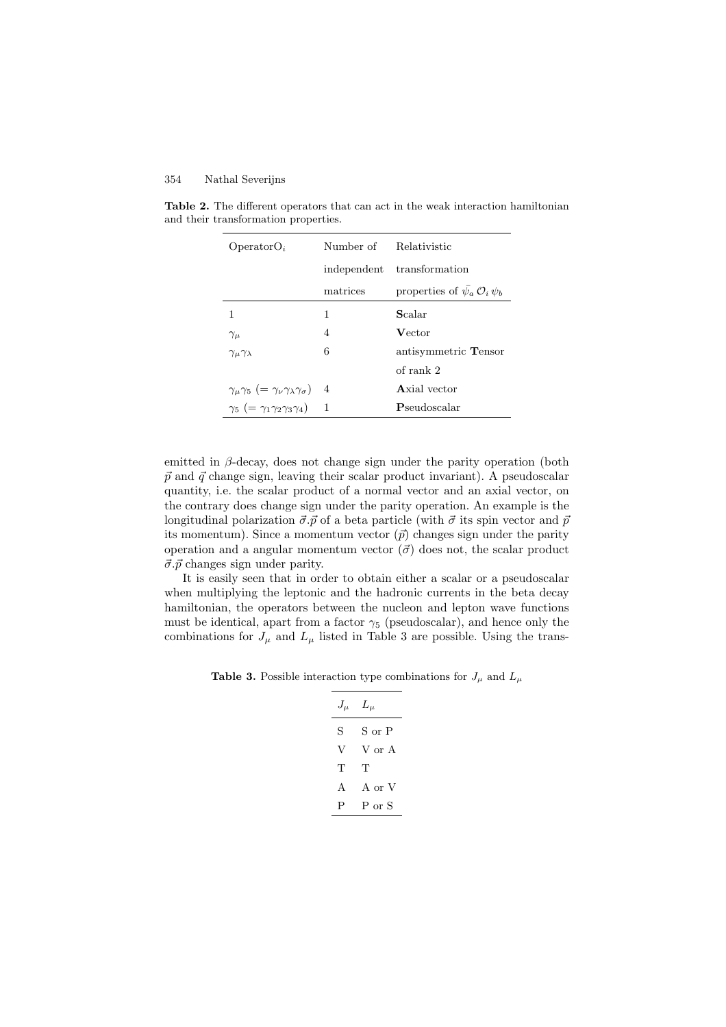| $OperatorO_i$                                                               | Number of   | Relativistic                                |
|-----------------------------------------------------------------------------|-------------|---------------------------------------------|
|                                                                             | independent | transformation                              |
|                                                                             | matrices    | properties of $\psi_a \mathcal{O}_i \psi_b$ |
| 1                                                                           | 1           | Scalar                                      |
| $\gamma_{\mu}$                                                              | 4           | $\mathbf{Vector}$                           |
| $\gamma_{\mu}\gamma_{\lambda}$                                              | 6           | antisymmetric Tensor                        |
|                                                                             |             | of rank 2                                   |
| $\gamma_{\mu}\gamma_5$ (= $\gamma_{\nu}\gamma_{\lambda}\gamma_{\sigma}$ ) 4 |             | <b>Axial</b> vector                         |
| $\gamma_5$ (= $\gamma_1 \gamma_2 \gamma_3 \gamma_4$ )                       | -1          | Pseudoscalar                                |

**Table 2.** The different operators that can act in the weak interaction hamiltonian and their transformation properties.

emitted in  $\beta$ -decay, does not change sign under the parity operation (both  $\vec{p}$  and  $\vec{q}$  change sign, leaving their scalar product invariant). A pseudoscalar quantity, i.e. the scalar product of a normal vector and an axial vector, on the contrary does change sign under the parity operation. An example is the longitudinal polarization  $\vec{\sigma} \cdot \vec{p}$  of a beta particle (with  $\vec{\sigma}$  its spin vector and  $\vec{p}$ ) its momentum). Since a momentum vector  $(\vec{p})$  changes sign under the parity operation and a angular momentum vector  $(\vec{\sigma})$  does not, the scalar product  $\vec{\sigma} \cdot \vec{p}$  changes sign under parity.

It is easily seen that in order to obtain either a scalar or a pseudoscalar when multiplying the leptonic and the hadronic currents in the beta decay hamiltonian, the operators between the nucleon and lepton wave functions must be identical, apart from a factor  $\gamma_5$  (pseudoscalar), and hence only the combinations for  $J_{\mu}$  and  $L_{\mu}$  listed in Table 3 are possible. Using the trans-

**Table 3.** Possible interaction type combinations for  $J_{\mu}$  and  $L_{\mu}$ 

| $J_\mu$      | $L_\mu$ |
|--------------|---------|
| S            | S or P  |
| V            | V or A  |
| Т            | Т       |
| A            | A or V  |
| $\mathsf{P}$ | P or S  |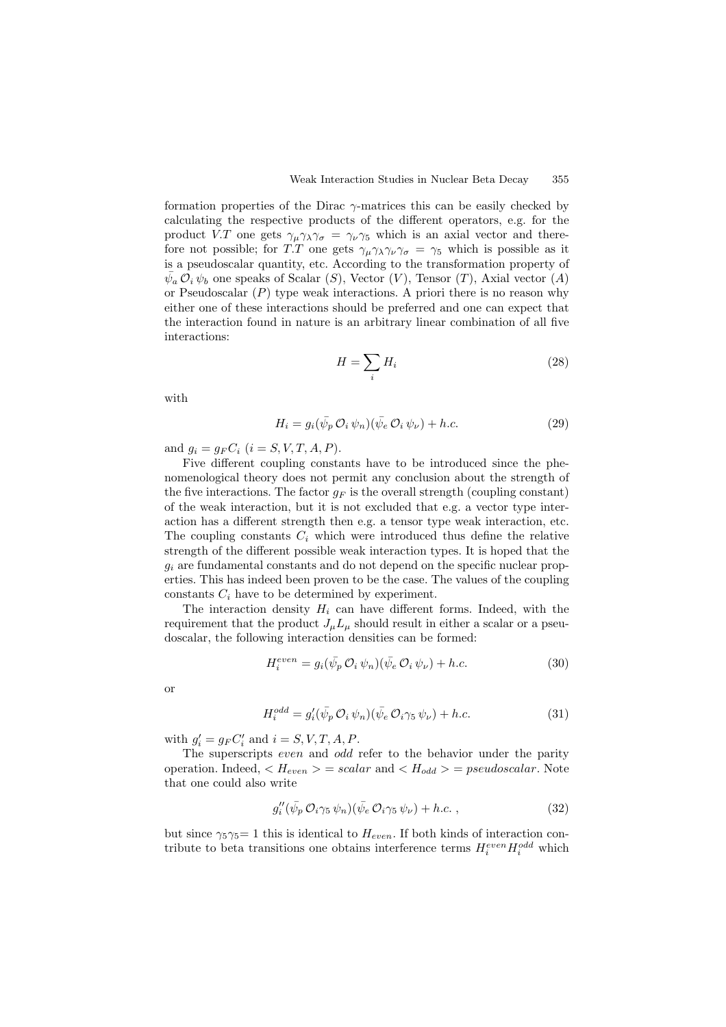formation properties of the Dirac  $\gamma$ -matrices this can be easily checked by calculating the respective products of the different operators, e.g. for the product V.T one gets  $\gamma_{\mu}\gamma_{\lambda}\gamma_{\sigma} = \gamma_{\nu}\gamma_{5}$  which is an axial vector and therefore not possible; for T.T one gets  $\gamma_{\mu} \gamma_{\lambda} \gamma_{\nu} \gamma_{\sigma} = \gamma_5$  which is possible as it is a pseudoscalar quantity, etc. According to the transformation property of  $\bar{\psi}_a O_i \psi_b$  one speaks of Scalar (S), Vector (V), Tensor (T), Axial vector (A) or Pseudoscalar  $(P)$  type weak interactions. A priori there is no reason why either one of these interactions should be preferred and one can expect that the interaction found in nature is an arbitrary linear combination of all five interactions:

$$
H = \sum_{i} H_i \tag{28}
$$

with

$$
H_i = g_i(\bar{\psi_p} \mathcal{O}_i \psi_n)(\bar{\psi_e} \mathcal{O}_i \psi_\nu) + h.c.
$$
 (29)

and  $g_i = g_F C_i$   $(i = S, V, T, A, P)$ .

Five different coupling constants have to be introduced since the phenomenological theory does not permit any conclusion about the strength of the five interactions. The factor  $q_F$  is the overall strength (coupling constant) of the weak interaction, but it is not excluded that e.g. a vector type interaction has a different strength then e.g. a tensor type weak interaction, etc. The coupling constants  $C_i$  which were introduced thus define the relative strength of the different possible weak interaction types. It is hoped that the  $g_i$  are fundamental constants and do not depend on the specific nuclear properties. This has indeed been proven to be the case. The values of the coupling constants  $C_i$  have to be determined by experiment.

The interaction density  $H_i$  can have different forms. Indeed, with the requirement that the product  $J_{\mu}L_{\mu}$  should result in either a scalar or a pseudoscalar, the following interaction densities can be formed:

$$
H_i^{even} = g_i(\bar{\psi}_p \mathcal{O}_i \psi_n)(\bar{\psi}_e \mathcal{O}_i \psi_\nu) + h.c.
$$
 (30)

or

$$
H_i^{odd} = g_i'(\bar{\psi}_p \mathcal{O}_i \psi_n)(\bar{\psi}_e \mathcal{O}_i \gamma_5 \psi_\nu) + h.c.
$$
 (31)

with  $g'_i = g_F C'_i$  and  $i = S, V, T, A, P$ .

The superscripts *even* and *odd* refer to the behavior under the parity operation. Indeed,  $\langle H_{even} \rangle = scalar$  and  $\langle H_{odd} \rangle = pseudoscalar$ . Note that one could also write

$$
g_i''(\bar{\psi}_p \mathcal{O}_i \gamma_5 \psi_n)(\bar{\psi}_e \mathcal{O}_i \gamma_5 \psi_\nu) + h.c. , \qquad (32)
$$

but since  $\gamma_5 \gamma_5 = 1$  this is identical to  $H_{even}$ . If both kinds of interaction contribute to beta transitions one obtains interference terms  $H_i^{even}H_i^{odd}$  which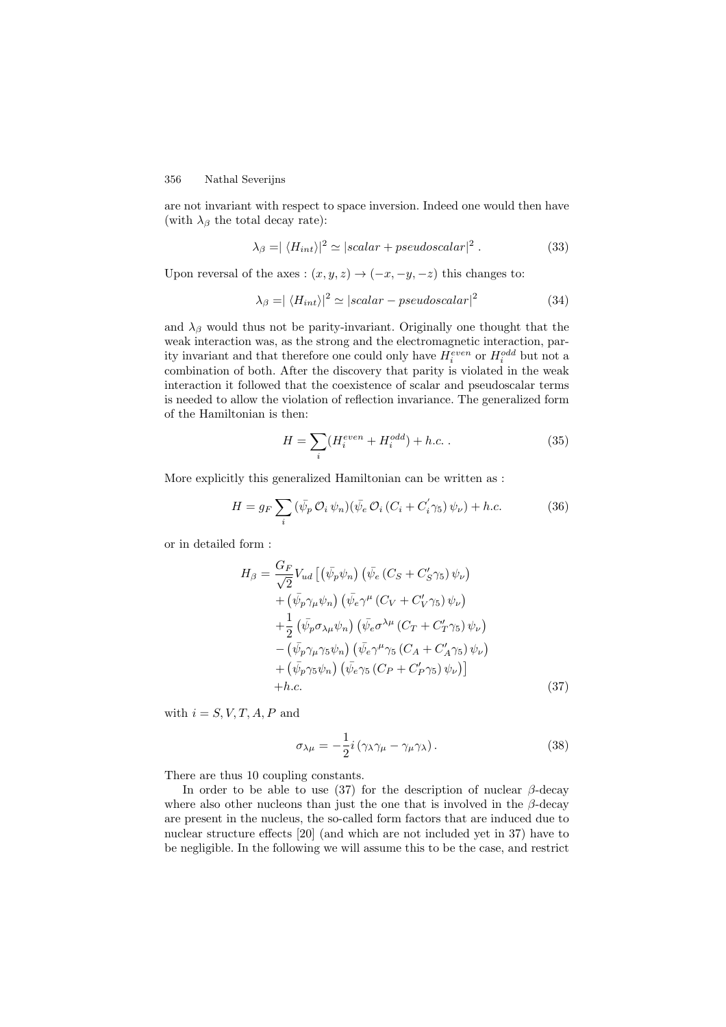are not invariant with respect to space inversion. Indeed one would then have (with  $\lambda_{\beta}$  the total decay rate):

$$
\lambda_{\beta} = |\langle H_{int} \rangle|^{2} \simeq |scalar + pseudoscalar|^{2}.
$$
 (33)

Upon reversal of the axes :  $(x, y, z) \rightarrow (-x, -y, -z)$  this changes to:

$$
\lambda_{\beta} = |\langle H_{int} \rangle|^{2} \simeq |scalar - pseudoscalar|^{2}
$$
 (34)

and  $\lambda_{\beta}$  would thus not be parity-invariant. Originally one thought that the weak interaction was, as the strong and the electromagnetic interaction, parity invariant and that therefore one could only have  $H_i^{even}$  or  $H_i^{odd}$  but not a combination of both. After the discovery that parity is violated in the weak interaction it followed that the coexistence of scalar and pseudoscalar terms is needed to allow the violation of reflection invariance. The generalized form of the Hamiltonian is then:

$$
H = \sum_{i} (H_i^{even} + H_i^{odd}) + h.c. \tag{35}
$$

More explicitly this generalized Hamiltonian can be written as :

$$
H = g_F \sum_i (\bar{\psi}_p \mathcal{O}_i \psi_n) (\bar{\psi}_e \mathcal{O}_i (C_i + C_i' \gamma_5) \psi_\nu) + h.c.
$$
 (36)

or in detailed form :

$$
H_{\beta} = \frac{G_F}{\sqrt{2}} V_{ud} \left[ \left( \bar{\psi}_p \psi_n \right) \left( \bar{\psi}_e \left( C_S + C_S' \gamma_5 \right) \psi_\nu \right) \right. \n+ \left( \bar{\psi}_p \gamma_\mu \psi_n \right) \left( \bar{\psi}_e \gamma^\mu \left( C_V + C_V' \gamma_5 \right) \psi_\nu \right) \n+ \frac{1}{2} \left( \bar{\psi}_p \sigma_{\lambda \mu} \psi_n \right) \left( \bar{\psi}_e \sigma^{\lambda \mu} \left( C_T + C_T' \gamma_5 \right) \psi_\nu \right) \n- \left( \bar{\psi}_p \gamma_\mu \gamma_5 \psi_n \right) \left( \bar{\psi}_e \gamma^\mu \gamma_5 \left( C_A + C_A' \gamma_5 \right) \psi_\nu \right) \n+ \left( \bar{\psi}_p \gamma_5 \psi_n \right) \left( \bar{\psi}_e \gamma_5 \left( C_P + C_P' \gamma_5 \right) \psi_\nu \right) \right] \n+ h.c. \n(37)
$$

with  $i = S, V, T, A, P$  and

$$
\sigma_{\lambda\mu} = -\frac{1}{2}i\left(\gamma_{\lambda}\gamma_{\mu} - \gamma_{\mu}\gamma_{\lambda}\right). \tag{38}
$$

There are thus 10 coupling constants.

In order to be able to use (37) for the description of nuclear  $\beta$ -decay where also other nucleons than just the one that is involved in the  $\beta$ -decay are present in the nucleus, the so-called form factors that are induced due to nuclear structure effects [20] (and which are not included yet in 37) have to be negligible. In the following we will assume this to be the case, and restrict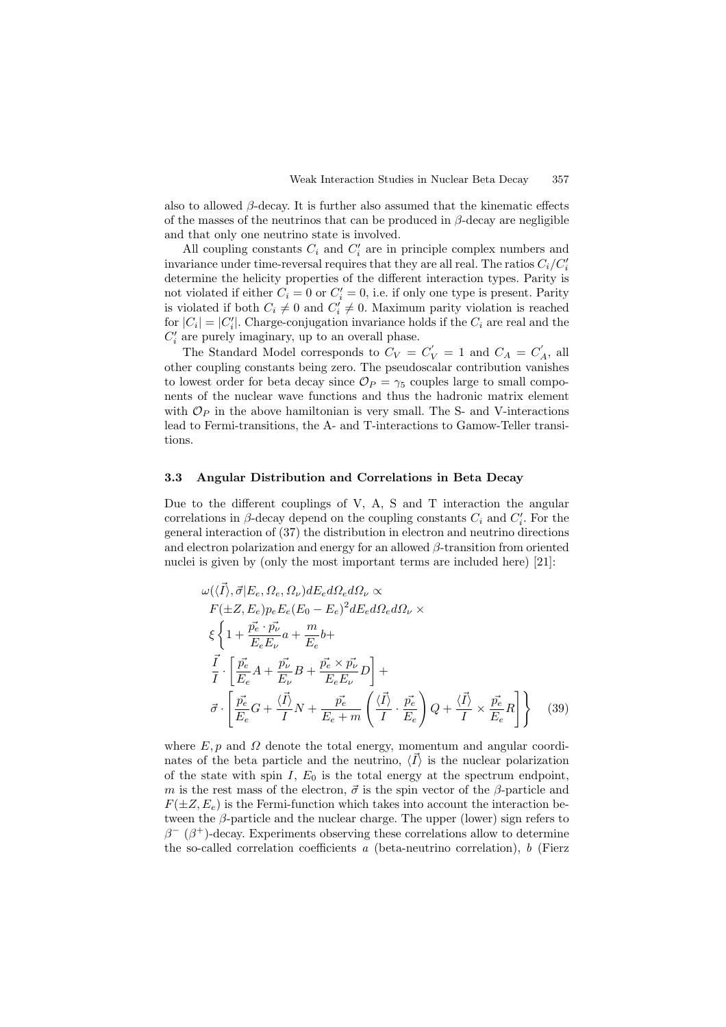also to allowed  $\beta$ -decay. It is further also assumed that the kinematic effects of the masses of the neutrinos that can be produced in  $\beta$ -decay are negligible and that only one neutrino state is involved.

All coupling constants  $C_i$  and  $C'_i$  are in principle complex numbers and invariance under time-reversal requires that they are all real. The ratios  $C_i/C_i'$ determine the helicity properties of the different interaction types. Parity is not violated if either  $C_i = 0$  or  $C'_i = 0$ , i.e. if only one type is present. Parity is violated if both  $C_i \neq 0$  and  $C'_i \neq 0$ . Maximum parity violation is reached for  $|C_i| = |C'_i|$ . Charge-conjugation invariance holds if the  $C_i$  are real and the  $C_i'$  are purely imaginary, up to an overall phase.

The Standard Model corresponds to  $C_V = C_V = 1$  and  $C_A = C_A$ , all other coupling constants being zero. The pseudoscalar contribution vanishes to lowest order for beta decay since  $\mathcal{O}_P = \gamma_5$  couples large to small components of the nuclear wave functions and thus the hadronic matrix element with  $\mathcal{O}_P$  in the above hamiltonian is very small. The S- and V-interactions lead to Fermi-transitions, the A- and T-interactions to Gamow-Teller transitions.

### **3.3 Angular Distribution and Correlations in Beta Decay**

Due to the different couplings of V, A, S and T interaction the angular correlations in  $\beta$ -decay depend on the coupling constants  $C_i$  and  $C'_i$ . For the general interaction of (37) the distribution in electron and neutrino directions and electron polarization and energy for an allowed  $\beta$ -transition from oriented nuclei is given by (only the most important terms are included here) [21]:

$$
\omega(\langle \vec{I} \rangle, \vec{\sigma} | E_e, \Omega_e, \Omega_\nu) dE_e d\Omega_e d\Omega_\nu \propto
$$
\n
$$
F(\pm Z, E_e) p_e E_e (E_0 - E_e)^2 dE_e d\Omega_e d\Omega_\nu \times
$$
\n
$$
\xi \left\{ 1 + \frac{\vec{p_e} \cdot \vec{p_\nu}}{E_e E_\nu} a + \frac{m}{E_e} b + \frac{\vec{p_e} \times \vec{p_\nu}}{E_e E_\nu} D \right\} +
$$
\n
$$
\vec{J} \cdot \left[ \frac{\vec{p_e}}{E_e} A + \frac{\vec{p_\nu}}{E_\nu} B + \frac{\vec{p_e} \times \vec{p_\nu}}{E_e E_\nu} D \right] +
$$
\n
$$
\vec{\sigma} \cdot \left[ \frac{\vec{p_e}}{E_e} G + \frac{\langle \vec{I} \rangle}{I} N + \frac{\vec{p_e}}{E_e + m} \left( \frac{\langle \vec{I} \rangle}{I} \cdot \frac{\vec{p_e}}{E_e} \right) Q + \frac{\langle \vec{I} \rangle}{I} \times \frac{\vec{p_e}}{E_e} R \right] \right\} \quad (39)
$$

where  $E, p$  and  $\Omega$  denote the total energy, momentum and angular coordinates of the beta particle and the neutrino,  $\langle \vec{I} \rangle$  is the nuclear polarization of the state with spin I,  $E_0$  is the total energy at the spectrum endpoint, m is the rest mass of the electron,  $\vec{\sigma}$  is the spin vector of the  $\beta$ -particle and  $F(\pm Z, E_e)$  is the Fermi-function which takes into account the interaction between the  $\beta$ -particle and the nuclear charge. The upper (lower) sign refers to  $\beta$ <sup>-</sup> ( $\beta$ <sup>+</sup>)-decay. Experiments observing these correlations allow to determine the so-called correlation coefficients *a* (beta-neutrino correlation), *b* (Fierz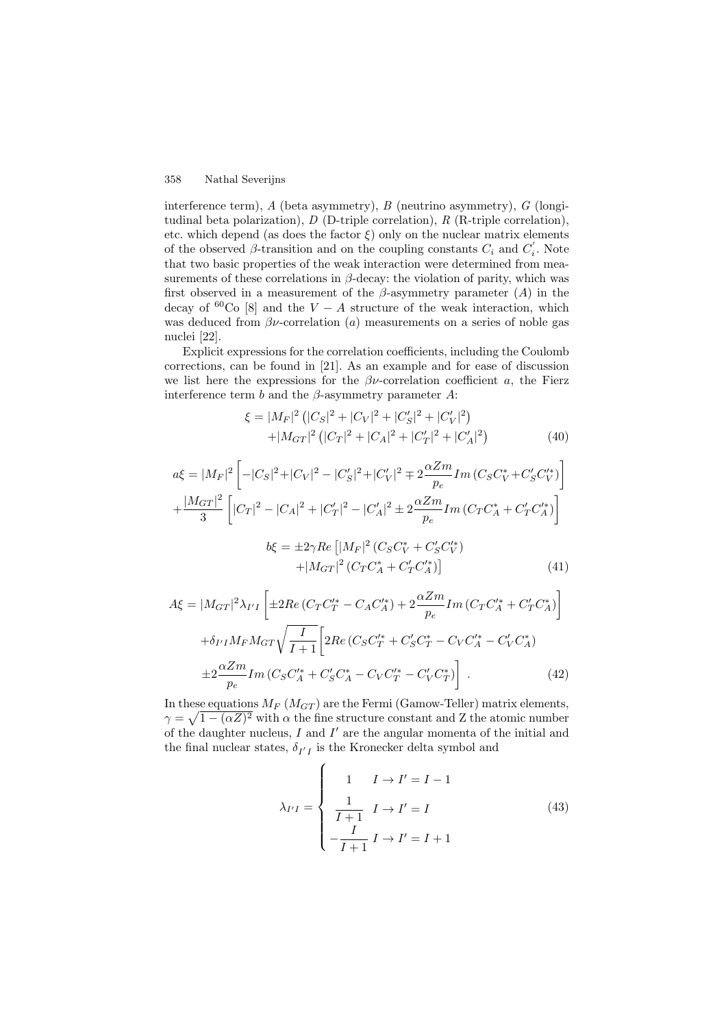interference term), *A* (beta asymmetry), *B* (neutrino asymmetry), *G* (longitudinal beta polarization), *D* (D-triple correlation), *R* (R-triple correlation), etc. which depend (as does the factor  $\xi$ ) only on the nuclear matrix elements of the observed  $\beta$ -transition and on the coupling constants  $C_i$  and  $C'_i$ . Note that two basic properties of the weak interaction were determined from measurements of these correlations in  $\beta$ -decay: the violation of parity, which was first observed in a measurement of the  $\beta$ -asymmetry parameter  $(A)$  in the decay of  ${}^{60}Co$  [8] and the  $V - A$  structure of the weak interaction, which was deduced from  $\beta \nu$ -correlation (a) measurements on a series of noble gas nuclei [22].

Explicit expressions for the correlation coefficients, including the Coulomb corrections, can be found in [21]. As an example and for ease of discussion we list here the expressions for the  $\beta \nu$ -correlation coefficient a, the Fierz interference term b and the  $\beta$ -asymmetry parameter A:

$$
\xi = |M_F|^2 \left( |C_S|^2 + |C_V|^2 + |C_S'|^2 + |C_V'|^2 \right) + |M_{GT}|^2 \left( |C_T|^2 + |C_A|^2 + |C_T'|^2 + |C_A'|^2 \right)
$$
(40)

$$
a\xi = |M_F|^2 \left[ -|C_S|^2 + |C_V|^2 - |C_S'|^2 + |C_V'|^2 \mp 2\frac{\alpha Zm}{p_e} Im\left(C_S C_V^* + C_S' C_V'^*\right) \right]
$$
  
+ 
$$
\frac{|M_{GT}|^2}{3} \left[ |C_T|^2 - |C_A|^2 + |C_T'|^2 - |C_A'|^2 \pm 2\frac{\alpha Zm}{p_e} Im\left(C_T C_A^* + C_T' C_A'^*\right) \right]
$$
  

$$
b\xi = \pm 2\gamma Re\left[ |M_F|^2 \left(C_S C_V^* + C_S' C_V'^*\right) + |M_{GT}|^2 \left(C_T C_A^* + C_T' C_A'^*\right) \right]
$$
(41)

$$
A\xi = |M_{GT}|^2 \lambda_{I'I} \left[ \pm 2Re \left( C_T C_T^{'*} - C_A C_A^{'*} \right) + 2 \frac{\alpha Z m}{p_e} Im \left( C_T C_A^{'*} + C_T' C_A^* \right) \right]
$$

$$
+ \delta_{I'I} M_F M_{GT} \sqrt{\frac{I}{I+1}} \left[ 2Re \left( C_S C_T^{'*} + C_S' C_T^* - C_V C_A^{'*} - C_V' C_A^* \right) \right]
$$

$$
\pm 2 \frac{\alpha Z m}{p_e} Im \left( C_S C_A^{'*} + C_S' C_A^* - C_V C_T^{'*} - C_V' C_T^* \right) \right].
$$
(42)

In these equations  $M_F (M_{GT})$  are the Fermi (Gamow-Teller) matrix elements,  $\gamma = \sqrt{1 - (\alpha Z)^2}$  with  $\alpha$  the fine structure constant and Z the atomic number of the daughter nucleus,  $I$  and  $I'$  are the angular momenta of the initial and the final nuclear states,  $\delta_{I^{'}I}$  is the Kronecker delta symbol and

$$
\lambda_{I'I} = \begin{cases}\n1 & I \to I' = I - 1 \\
\frac{1}{I+1} & I \to I' = I \\
-\frac{I}{I+1} & I \to I' = I + 1\n\end{cases}
$$
\n(43)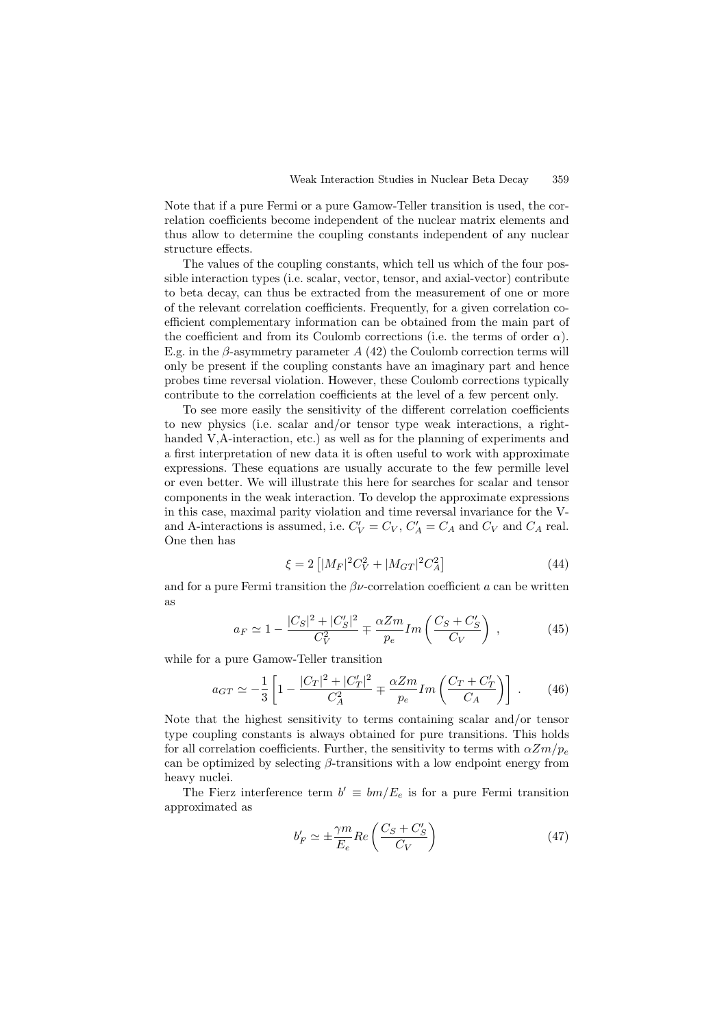Note that if a pure Fermi or a pure Gamow-Teller transition is used, the correlation coefficients become independent of the nuclear matrix elements and thus allow to determine the coupling constants independent of any nuclear structure effects.

The values of the coupling constants, which tell us which of the four possible interaction types (i.e. scalar, vector, tensor, and axial-vector) contribute to beta decay, can thus be extracted from the measurement of one or more of the relevant correlation coefficients. Frequently, for a given correlation coefficient complementary information can be obtained from the main part of the coefficient and from its Coulomb corrections (i.e. the terms of order  $\alpha$ ). E.g. in the  $\beta$ -asymmetry parameter A (42) the Coulomb correction terms will only be present if the coupling constants have an imaginary part and hence probes time reversal violation. However, these Coulomb corrections typically contribute to the correlation coefficients at the level of a few percent only.

To see more easily the sensitivity of the different correlation coefficients to new physics (i.e. scalar and/or tensor type weak interactions, a righthanded V,A-interaction, etc.) as well as for the planning of experiments and a first interpretation of new data it is often useful to work with approximate expressions. These equations are usually accurate to the few permille level or even better. We will illustrate this here for searches for scalar and tensor components in the weak interaction. To develop the approximate expressions in this case, maximal parity violation and time reversal invariance for the Vand A-interactions is assumed, i.e.  $C_V' = C_V$ ,  $C_A' = C_A$  and  $C_V$  and  $C_A$  real. One then has

$$
\xi = 2\left[|M_F|^2 C_V^2 + |M_{GT}|^2 C_A^2\right] \tag{44}
$$

and for a pure Fermi transition the  $\beta \nu$ -correlation coefficient a can be written as

$$
a_F \simeq 1 - \frac{|C_S|^2 + |C_S'|^2}{C_V^2} \mp \frac{\alpha Z m}{p_e} Im\left(\frac{C_S + C_S'}{C_V}\right) ,\qquad (45)
$$

while for a pure Gamow-Teller transition

$$
a_{GT} \simeq -\frac{1}{3} \left[ 1 - \frac{|C_T|^2 + |C_T'|^2}{C_A^2} \mp \frac{\alpha Z m}{p_e} Im \left( \frac{C_T + C_T'}{C_A} \right) \right] \,. \tag{46}
$$

Note that the highest sensitivity to terms containing scalar and/or tensor type coupling constants is always obtained for pure transitions. This holds for all correlation coefficients. Further, the sensitivity to terms with  $\alpha Zm/p_e$ can be optimized by selecting  $\beta$ -transitions with a low endpoint energy from heavy nuclei.

The Fierz interference term  $b' \equiv bm/E_e$  is for a pure Fermi transition approximated as

$$
b'_F \simeq \pm \frac{\gamma m}{E_e} Re \left( \frac{C_S + C'_S}{C_V} \right) \tag{47}
$$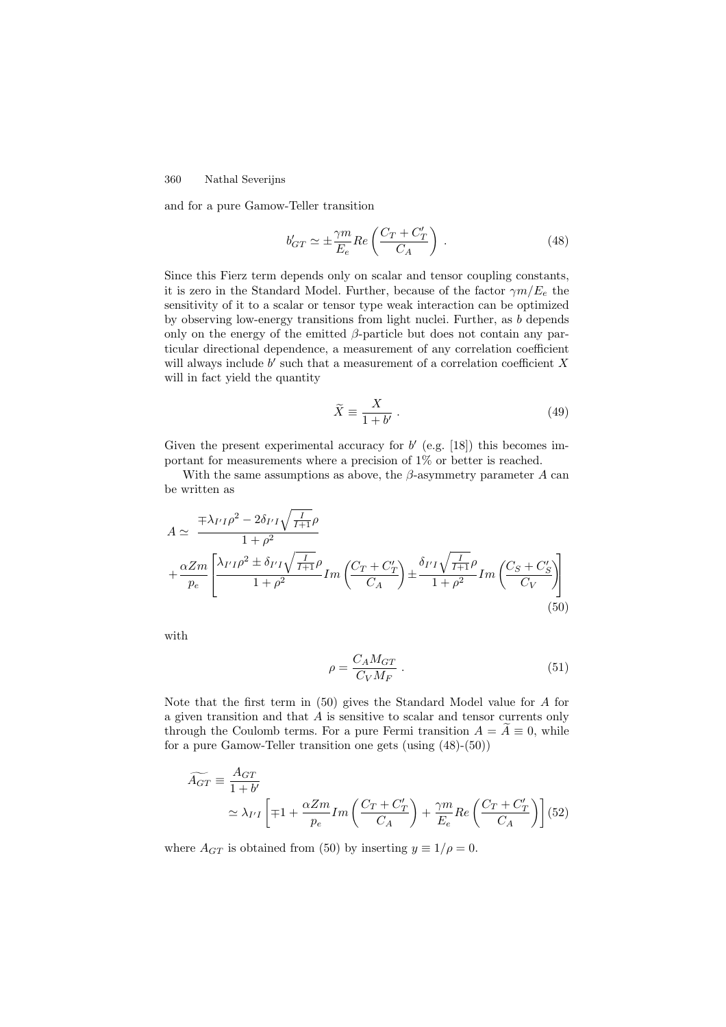and for a pure Gamow-Teller transition

$$
b'_{GT} \simeq \pm \frac{\gamma m}{E_e} Re \left( \frac{C_T + C'_T}{C_A} \right) . \tag{48}
$$

Since this Fierz term depends only on scalar and tensor coupling constants, it is zero in the Standard Model. Further, because of the factor  $\gamma m/E_e$  the sensitivity of it to a scalar or tensor type weak interaction can be optimized by observing low-energy transitions from light nuclei. Further, as b depends only on the energy of the emitted  $\beta$ -particle but does not contain any particular directional dependence, a measurement of any correlation coefficient will always include  $b'$  such that a measurement of a correlation coefficient X will in fact yield the quantity

$$
\widetilde{X} \equiv \frac{X}{1+b'} \ . \tag{49}
$$

Given the present experimental accuracy for  $b'$  (e.g. [18]) this becomes important for measurements where a precision of 1% or better is reached.

With the same assumptions as above, the  $\beta$ -asymmetry parameter A can be written as

$$
A \simeq \frac{\mp \lambda_{I'I} \rho^2 - 2\delta_{I'I} \sqrt{\frac{I}{I+1}} \rho}{1 + \rho^2} + \frac{\alpha Zm}{p_e} \left[ \frac{\lambda_{I'I} \rho^2 \pm \delta_{I'I} \sqrt{\frac{I}{I+1}} \rho}{1 + \rho^2} Im \left( \frac{C_T + C_T'}{C_A} \right) \pm \frac{\delta_{I'I} \sqrt{\frac{I}{I+1}} \rho}{1 + \rho^2} Im \left( \frac{C_S + C_S'}{C_V} \right) \right]
$$
\n
$$
(50)
$$

with

$$
\rho = \frac{C_A M_{GT}}{C_V M_F} \,. \tag{51}
$$

Note that the first term in (50) gives the Standard Model value for A for a given transition and that A is sensitive to scalar and tensor currents only through the Coulomb terms. For a pure Fermi transition  $A = A \equiv 0$ , while for a pure Gamow-Teller transition one gets (using (48)-(50))

$$
\widetilde{A_{GT}} \equiv \frac{A_{GT}}{1+b'}
$$
\n
$$
\simeq \lambda_{I'I} \left[ \mp 1 + \frac{\alpha Z m}{p_e} Im \left( \frac{C_T + C_T'}{C_A} \right) + \frac{\gamma m}{E_e} Re \left( \frac{C_T + C_T'}{C_A} \right) \right] (52)
$$

where  $A_{GT}$  is obtained from (50) by inserting  $y \equiv 1/\rho = 0$ .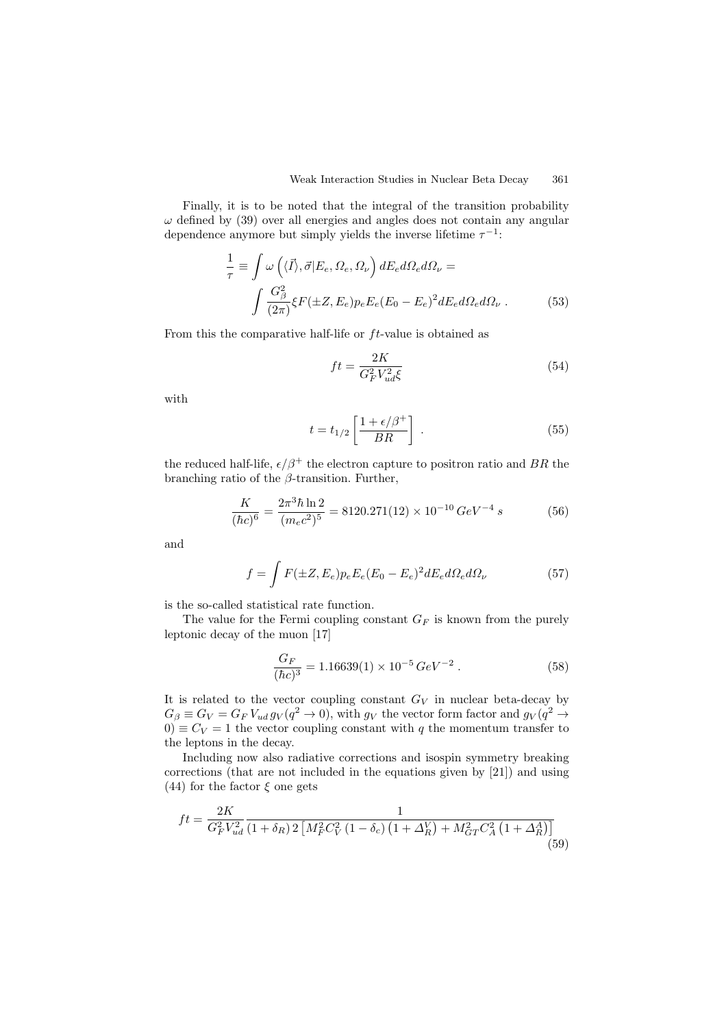Finally, it is to be noted that the integral of the transition probability  $\omega$  defined by (39) over all energies and angles does not contain any angular dependence anymore but simply yields the inverse lifetime  $\tau^{-1}$ :

$$
\frac{1}{\tau} \equiv \int \omega \left( \langle \vec{I} \rangle, \vec{\sigma} | E_e, \Omega_e, \Omega_\nu \right) dE_e d\Omega_e d\Omega_\nu =
$$
\n
$$
\int \frac{G_\beta^2}{(2\pi)} \xi F(\pm Z, E_e) p_e E_e (E_0 - E_e)^2 dE_e d\Omega_e d\Omega_\nu . \tag{53}
$$

From this the comparative half-life or  $ft$ -value is obtained as

$$
ft = \frac{2K}{G_F^2 V_{ud}^2 \xi} \tag{54}
$$

with

$$
t = t_{1/2} \left[ \frac{1 + \epsilon/\beta^+}{BR} \right] \,. \tag{55}
$$

the reduced half-life,  $\epsilon/\beta^+$  the electron capture to positron ratio and BR the branching ratio of the  $\beta$ -transition. Further,

$$
\frac{K}{(\hbar c)^6} = \frac{2\pi^3 \hbar \ln 2}{(m_e c^2)^5} = 8120.271(12) \times 10^{-10} \, GeV^{-4} \, s \tag{56}
$$

and

$$
f = \int F(\pm Z, E_e) p_e E_e (E_0 - E_e)^2 dE_e d\Omega_e d\Omega_\nu \tag{57}
$$

is the so-called statistical rate function.

The value for the Fermi coupling constant  $G_F$  is known from the purely leptonic decay of the muon [17]

$$
\frac{G_F}{(\hbar c)^3} = 1.16639(1) \times 10^{-5} \, GeV^{-2} \,. \tag{58}
$$

It is related to the vector coupling constant  $G_V$  in nuclear beta-decay by  $G_{\beta} \equiv G_V = G_F V_{ud} g_V (q^2 \to 0)$ , with  $g_V$  the vector form factor and  $g_V (q^2 \to 0)$  $0 \equiv C_V = 1$  the vector coupling constant with q the momentum transfer to the leptons in the decay.

Including now also radiative corrections and isospin symmetry breaking corrections (that are not included in the equations given by [21]) and using (44) for the factor  $\xi$  one gets

$$
ft = \frac{2K}{G_F^2 V_{ud}^2} \frac{1}{(1 + \delta_R) 2 \left[ M_F^2 C_V^2 \left(1 - \delta_c\right) \left(1 + \Delta_R^V\right) + M_{GT}^2 C_A^2 \left(1 + \Delta_R^A\right) \right]} \tag{59}
$$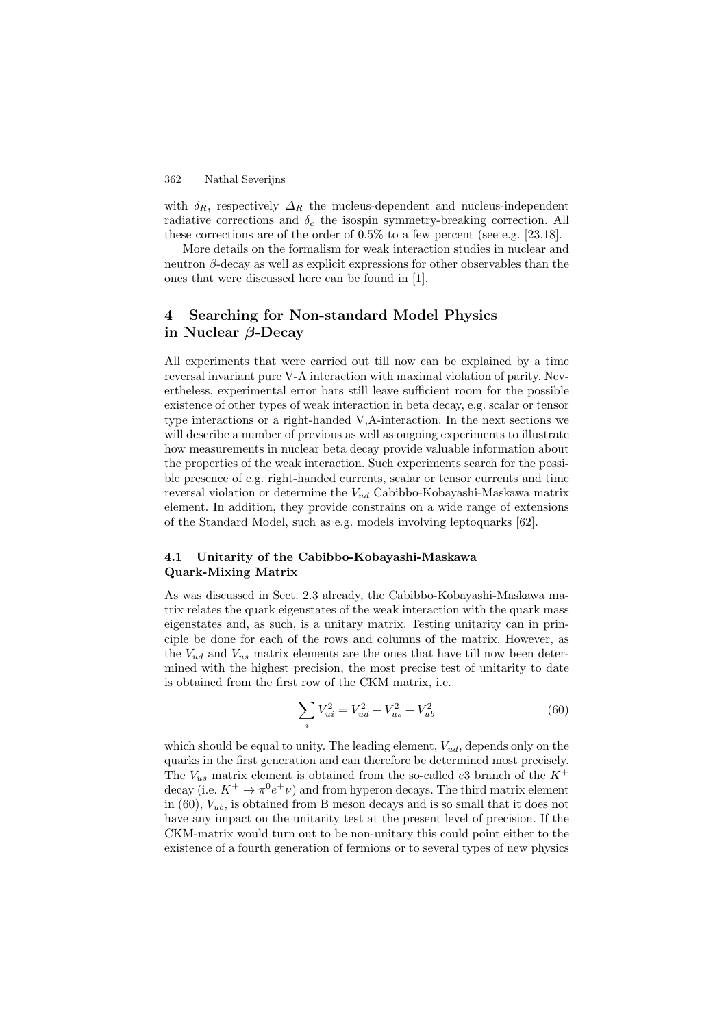with  $\delta_R$ , respectively  $\Delta_R$  the nucleus-dependent and nucleus-independent radiative corrections and  $\delta_c$  the isospin symmetry-breaking correction. All these corrections are of the order of  $0.5\%$  to a few percent (see e.g. [23,18].

More details on the formalism for weak interaction studies in nuclear and neutron  $\beta$ -decay as well as explicit expressions for other observables than the ones that were discussed here can be found in [1].

# **4 Searching for Non-standard Model Physics in Nuclear** *β***-Decay**

All experiments that were carried out till now can be explained by a time reversal invariant pure V-A interaction with maximal violation of parity. Nevertheless, experimental error bars still leave sufficient room for the possible existence of other types of weak interaction in beta decay, e.g. scalar or tensor type interactions or a right-handed V,A-interaction. In the next sections we will describe a number of previous as well as ongoing experiments to illustrate how measurements in nuclear beta decay provide valuable information about the properties of the weak interaction. Such experiments search for the possible presence of e.g. right-handed currents, scalar or tensor currents and time reversal violation or determine the  $V_{ud}$  Cabibbo-Kobayashi-Maskawa matrix element. In addition, they provide constrains on a wide range of extensions of the Standard Model, such as e.g. models involving leptoquarks [62].

# **4.1 Unitarity of the Cabibbo-Kobayashi-Maskawa Quark-Mixing Matrix**

As was discussed in Sect. 2.3 already, the Cabibbo-Kobayashi-Maskawa matrix relates the quark eigenstates of the weak interaction with the quark mass eigenstates and, as such, is a unitary matrix. Testing unitarity can in principle be done for each of the rows and columns of the matrix. However, as the  $V_{ud}$  and  $V_{us}$  matrix elements are the ones that have till now been determined with the highest precision, the most precise test of unitarity to date is obtained from the first row of the CKM matrix, i.e.

$$
\sum_{i} V_{ui}^2 = V_{ud}^2 + V_{us}^2 + V_{ub}^2
$$
\n(60)

which should be equal to unity. The leading element,  $V_{ud}$ , depends only on the quarks in the first generation and can therefore be determined most precisely. The  $V_{us}$  matrix element is obtained from the so-called e3 branch of the  $K^+$ decay (i.e.  $K^+ \to \pi^0 e^+ \nu$ ) and from hyperon decays. The third matrix element in  $(60)$ ,  $V_{ub}$ , is obtained from B meson decays and is so small that it does not have any impact on the unitarity test at the present level of precision. If the CKM-matrix would turn out to be non-unitary this could point either to the existence of a fourth generation of fermions or to several types of new physics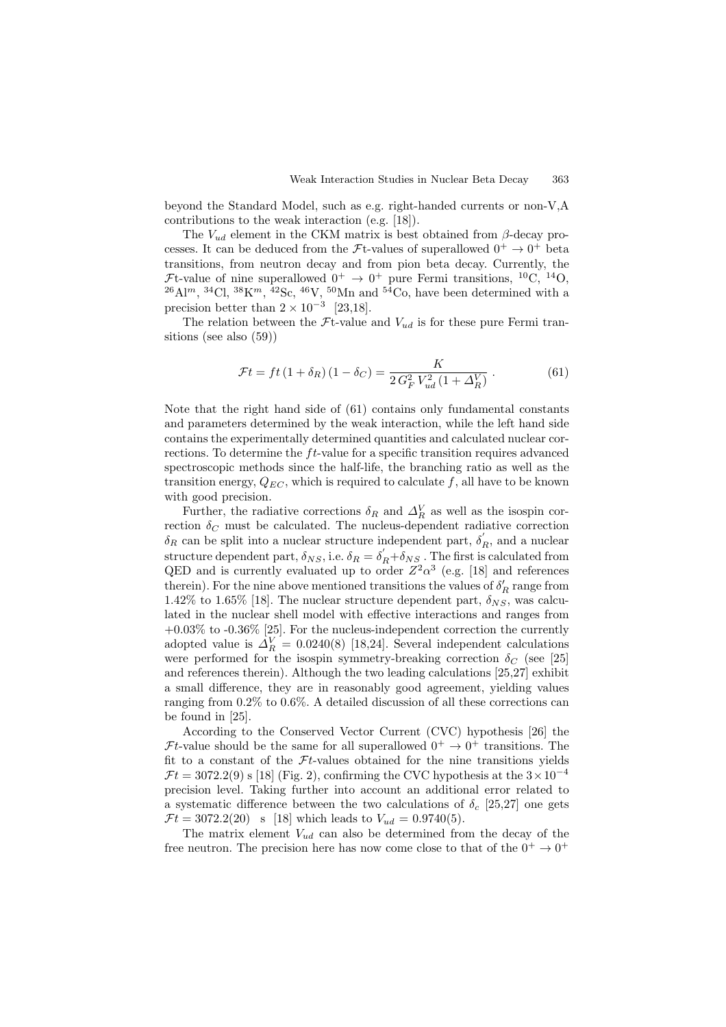beyond the Standard Model, such as e.g. right-handed currents or non-V,A contributions to the weak interaction (e.g. [18]).

The  $V_{ud}$  element in the CKM matrix is best obtained from β-decay processes. It can be deduced from the  $\mathcal{F}t$ -values of superallowed  $0^+ \rightarrow 0^+$  beta transitions, from neutron decay and from pion beta decay. Currently, the  $\mathcal{F}$ t-value of nine superallowed  $0^+ \rightarrow 0^+$  pure Fermi transitions, <sup>10</sup>C, <sup>14</sup>O,  $^{26}\text{Al}^m$ ,  $^{34}\text{Cl}$ ,  $^{38}\text{K}^m$ ,  $^{42}\text{Sc}$ ,  $^{46}\text{V}$ ,  $^{50}\text{Mn}$  and  $^{54}\text{Co}$ , have been determined with a precision better than  $2 \times 10^{-3}$  [23,18].

The relation between the  $\mathcal{F}$ t-value and  $V_{ud}$  is for these pure Fermi transitions (see also (59))

$$
\mathcal{F}t = ft\left(1 + \delta_R\right)\left(1 - \delta_C\right) = \frac{K}{2\,G_F^2\,V_{ud}^2\left(1 + \Delta_R^V\right)}\,. \tag{61}
$$

Note that the right hand side of (61) contains only fundamental constants and parameters determined by the weak interaction, while the left hand side contains the experimentally determined quantities and calculated nuclear corrections. To determine the  $ft$ -value for a specific transition requires advanced spectroscopic methods since the half-life, the branching ratio as well as the transition energy,  $Q_{EC}$ , which is required to calculate f, all have to be known with good precision.

Further, the radiative corrections  $\delta_R$  and  $\Delta_R^V$  as well as the isospin correction  $\delta_C$  must be calculated. The nucleus-dependent radiative correction  $\delta_R$  can be split into a nuclear structure independent part,  $\delta_R$ , and a nuclear structure dependent part,  $\delta_{NS}$ , i.e.  $\delta_R = \delta_R + \delta_{NS}$ . The first is calculated from QED and is currently evaluated up to order  $Z^2\alpha^3$  (e.g. [18] and references therein). For the nine above mentioned transitions the values of  $\delta_R'$  range from 1.42% to 1.65% [18]. The nuclear structure dependent part,  $\delta_{NS}$ , was calculated in the nuclear shell model with effective interactions and ranges from  $+0.03\%$  to  $-0.36\%$  [25]. For the nucleus-independent correction the currently adopted value is  $\Delta_R^V = 0.0240(8)$  [18,24]. Several independent calculations were performed for the isospin symmetry-breaking correction  $\delta_C$  (see [25] and references therein). Although the two leading calculations [25,27] exhibit a small difference, they are in reasonably good agreement, yielding values ranging from 0.2% to 0.6%. A detailed discussion of all these corrections can be found in [25].

According to the Conserved Vector Current (CVC) hypothesis [26] the  $\mathcal{F}t$ -value should be the same for all superallowed  $0^+ \rightarrow 0^+$  transitions. The fit to a constant of the  $\mathcal{F}t$ -values obtained for the nine transitions yields  $\mathcal{F}t = 3072.2(9)$  s [18] (Fig. 2), confirming the CVC hypothesis at the  $3 \times 10^{-4}$ precision level. Taking further into account an additional error related to a systematic difference between the two calculations of  $\delta_c$  [25,27] one gets  $\mathcal{F}t = 3072.2(20)$  s [18] which leads to  $V_{ud} = 0.9740(5)$ .

The matrix element  $V_{ud}$  can also be determined from the decay of the free neutron. The precision here has now come close to that of the  $0^+ \rightarrow 0^+$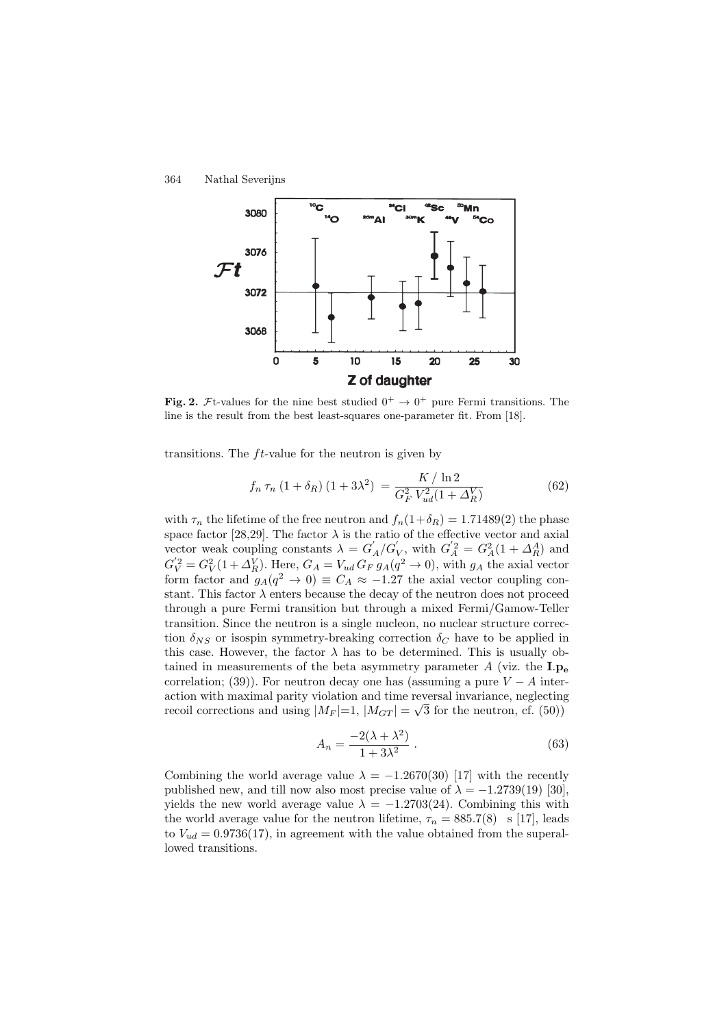

**Fig. 2.** Ft-values for the nine best studied  $0^+ \rightarrow 0^+$  pure Fermi transitions. The line is the result from the best least-squares one-parameter fit. From [18].

transitions. The  $ft$ -value for the neutron is given by

$$
f_n \tau_n (1 + \delta_R) (1 + 3\lambda^2) = \frac{K / \ln 2}{G_F^2 V_{ud}^2 (1 + \Delta_R^V)}
$$
(62)

with  $\tau_n$  the lifetime of the free neutron and  $f_n(1+\delta_R)=1.71489(2)$  the phase space factor [28,29]. The factor  $\lambda$  is the ratio of the effective vector and axial vector weak coupling constants  $\lambda = G'_A/G'_V$ , with  $G'_A = G_A^2(1 + \Delta_R^A)$  and  $G_V^{'2} = G_V^2(1 + \Delta_R^V)$ . Here,  $G_A = V_{ud} G_F g_A(q^2 \to 0)$ , with  $g_A$  the axial vector form factor and  $g_A(q^2 \to 0) \equiv C_A \approx -1.27$  the axial vector coupling constant. This factor  $\lambda$  enters because the decay of the neutron does not proceed through a pure Fermi transition but through a mixed Fermi/Gamow-Teller transition. Since the neutron is a single nucleon, no nuclear structure correction  $\delta_{NS}$  or isospin symmetry-breaking correction  $\delta_C$  have to be applied in this case. However, the factor  $\lambda$  has to be determined. This is usually obtained in measurements of the beta asymmetry parameter A (viz. the **I**.**p<sup>e</sup>** correlation; (39)). For neutron decay one has (assuming a pure  $V - A$  interaction with maximal parity violation and time reversal invariance, neglecting recoil corrections and using  $|M_F|=1$ ,  $|M_{GT}|=\sqrt{3}$  for the neutron, cf. (50))

$$
A_n = \frac{-2(\lambda + \lambda^2)}{1 + 3\lambda^2} \,. \tag{63}
$$

Combining the world average value  $\lambda = -1.2670(30)$  [17] with the recently published new, and till now also most precise value of  $\lambda = -1.2739(19)$  [30], yields the new world average value  $\lambda = -1.2703(24)$ . Combining this with the world average value for the neutron lifetime,  $\tau_n = 885.7(8)$  s [17], leads to  $V_{ud} = 0.9736(17)$ , in agreement with the value obtained from the superallowed transitions.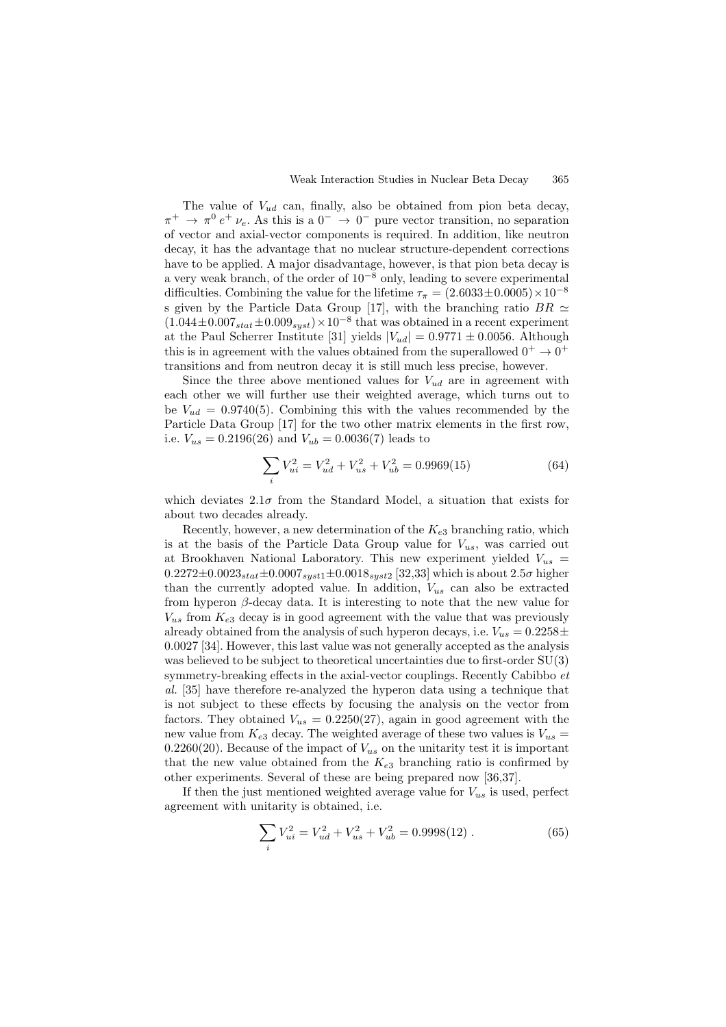The value of  $V_{ud}$  can, finally, also be obtained from pion beta decay,  $\pi^+ \to \pi^0 e^+ \nu_e$ . As this is a  $0^- \to 0^-$  pure vector transition, no separation of vector and axial-vector components is required. In addition, like neutron decay, it has the advantage that no nuclear structure-dependent corrections have to be applied. A major disadvantage, however, is that pion beta decay is a very weak branch, of the order of 10−<sup>8</sup> only, leading to severe experimental difficulties. Combining the value for the lifetime  $\tau_{\pi} = (2.6033 \pm 0.0005) \times 10^{-8}$ s given by the Particle Data Group [17], with the branching ratio  $BR \simeq$  $(1.044 \pm 0.007<sub>stat</sub> \pm 0.009<sub>sust</sub>) \times 10^{-8}$  that was obtained in a recent experiment at the Paul Scherrer Institute [31] yields  $|V_{ud}| = 0.9771 \pm 0.0056$ . Although this is in agreement with the values obtained from the superallowed  $0^+ \rightarrow 0^+$ transitions and from neutron decay it is still much less precise, however.

Since the three above mentioned values for  $V_{ud}$  are in agreement with each other we will further use their weighted average, which turns out to be  $V_{ud} = 0.9740(5)$ . Combining this with the values recommended by the Particle Data Group [17] for the two other matrix elements in the first row, i.e.  $V_{us} = 0.2196(26)$  and  $V_{ub} = 0.0036(7)$  leads to

$$
\sum_{i} V_{ui}^2 = V_{ud}^2 + V_{us}^2 + V_{ub}^2 = 0.9969(15)
$$
 (64)

which deviates  $2.1\sigma$  from the Standard Model, a situation that exists for about two decades already.

Recently, however, a new determination of the  $K_{e3}$  branching ratio, which is at the basis of the Particle Data Group value for  $V_{us}$ , was carried out at Brookhaven National Laboratory. This new experiment yielded  $V_{us}$  =  $0.2272\pm0.0023_{stat}\pm0.0007_{syst1}\pm0.0018_{sust2}$  [32,33] which is about  $2.5\sigma$  higher than the currently adopted value. In addition,  $V_{us}$  can also be extracted from hyperon  $\beta$ -decay data. It is interesting to note that the new value for  $V_{us}$  from  $K_{e3}$  decay is in good agreement with the value that was previously already obtained from the analysis of such hyperon decays, i.e.  $V_{us} = 0.2258 \pm$ 0.0027 [34]. However, this last value was not generally accepted as the analysis was believed to be subject to theoretical uncertainties due to first-order  $SU(3)$ symmetry-breaking effects in the axial-vector couplings. Recently Cabibbo *et al.* [35] have therefore re-analyzed the hyperon data using a technique that is not subject to these effects by focusing the analysis on the vector from factors. They obtained  $V_{us} = 0.2250(27)$ , again in good agreement with the new value from  $K_{e3}$  decay. The weighted average of these two values is  $V_{us}$  = 0.2260(20). Because of the impact of  $V_{us}$  on the unitarity test it is important that the new value obtained from the  $K_{e3}$  branching ratio is confirmed by other experiments. Several of these are being prepared now [36,37].

If then the just mentioned weighted average value for  $V_{us}$  is used, perfect agreement with unitarity is obtained, i.e.

$$
\sum_{i} V_{ui}^2 = V_{ud}^2 + V_{us}^2 + V_{ub}^2 = 0.9998(12) . \tag{65}
$$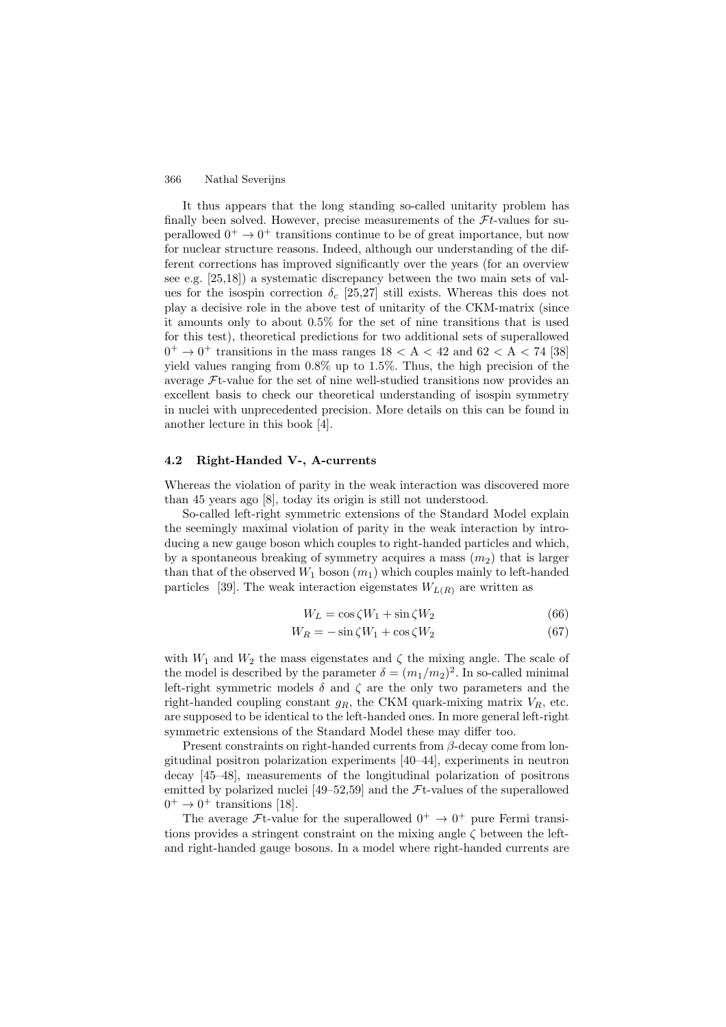It thus appears that the long standing so-called unitarity problem has finally been solved. However, precise measurements of the  $\mathcal{F}t$ -values for superallowed  $0^+ \rightarrow 0^+$  transitions continue to be of great importance, but now for nuclear structure reasons. Indeed, although our understanding of the different corrections has improved significantly over the years (for an overview see e.g. [25,18]) a systematic discrepancy between the two main sets of values for the isospin correction  $\delta_c$  [25,27] still exists. Whereas this does not play a decisive role in the above test of unitarity of the CKM-matrix (since it amounts only to about 0.5% for the set of nine transitions that is used for this test), theoretical predictions for two additional sets of superallowed  $0^+ \rightarrow 0^+$  transitions in the mass ranges  $18 < A < 42$  and  $62 < A < 74$  [38] yield values ranging from 0.8% up to 1.5%. Thus, the high precision of the average Ft-value for the set of nine well-studied transitions now provides an excellent basis to check our theoretical understanding of isospin symmetry in nuclei with unprecedented precision. More details on this can be found in another lecture in this book [4].

### **4.2 Right-Handed V-, A-currents**

Whereas the violation of parity in the weak interaction was discovered more than 45 years ago [8], today its origin is still not understood.

So-called left-right symmetric extensions of the Standard Model explain the seemingly maximal violation of parity in the weak interaction by introducing a new gauge boson which couples to right-handed particles and which, by a spontaneous breaking of symmetry acquires a mass  $(m<sub>2</sub>)$  that is larger than that of the observed  $W_1$  boson  $(m_1)$  which couples mainly to left-handed particles [39]. The weak interaction eigenstates  $W_{L(R)}$  are written as

$$
W_L = \cos\zeta W_1 + \sin\zeta W_2\tag{66}
$$

$$
W_R = -\sin\zeta W_1 + \cos\zeta W_2\tag{67}
$$

with  $W_1$  and  $W_2$  the mass eigenstates and  $\zeta$  the mixing angle. The scale of the model is described by the parameter  $\delta = (m_1/m_2)^2$ . In so-called minimal left-right symmetric models  $\delta$  and  $\zeta$  are the only two parameters and the right-handed coupling constant  $g_R$ , the CKM quark-mixing matrix  $V_R$ , etc. are supposed to be identical to the left-handed ones. In more general left-right symmetric extensions of the Standard Model these may differ too.

Present constraints on right-handed currents from  $\beta$ -decay come from longitudinal positron polarization experiments [40–44], experiments in neutron decay [45–48], measurements of the longitudinal polarization of positrons emitted by polarized nuclei  $[49-52,59]$  and the  $\mathcal{F}$ t-values of the superallowed  $0^+ \rightarrow 0^+$  transitions [18].

The average  $\mathcal{F}$ t-value for the superallowed  $0^+ \rightarrow 0^+$  pure Fermi transitions provides a stringent constraint on the mixing angle  $\zeta$  between the leftand right-handed gauge bosons. In a model where right-handed currents are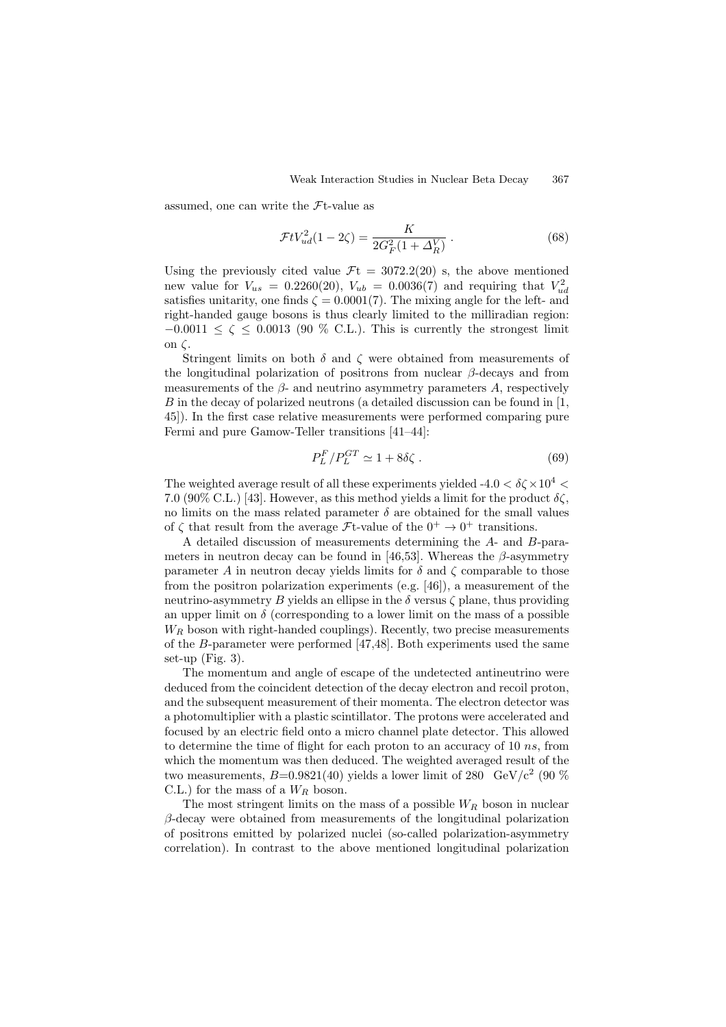assumed, one can write the Ft-value as

$$
\mathcal{F}tV_{ud}^2(1-2\zeta) = \frac{K}{2G_F^2(1+\Delta_R^V)}.
$$
\n(68)

Using the previously cited value  $\mathcal{F}t = 3072.2(20)$  s, the above mentioned new value for  $V_{us} = 0.2260(20)$ ,  $V_{ub} = 0.0036(7)$  and requiring that  $V_{ud}^2$ satisfies unitarity, one finds  $\zeta = 0.0001(7)$ . The mixing angle for the left- and right-handed gauge bosons is thus clearly limited to the milliradian region:  $-0.0011 \leq \zeta \leq 0.0013$  (90 % C.L.). This is currently the strongest limit on ζ.

Stringent limits on both  $\delta$  and  $\zeta$  were obtained from measurements of the longitudinal polarization of positrons from nuclear  $\beta$ -decays and from measurements of the  $\beta$ - and neutrino asymmetry parameters A, respectively B in the decay of polarized neutrons (a detailed discussion can be found in [1, 45]). In the first case relative measurements were performed comparing pure Fermi and pure Gamow-Teller transitions [41–44]:

$$
P_L^F / P_L^{GT} \simeq 1 + 8\delta\zeta \ . \tag{69}
$$

The weighted average result of all these experiments yielded -4.0  $< \delta \zeta \times 10^4$   $<$ 7.0 (90% C.L.) [43]. However, as this method yields a limit for the product  $\delta \zeta$ , no limits on the mass related parameter  $\delta$  are obtained for the small values of  $\zeta$  that result from the average  $\mathcal{F}$ t-value of the  $0^+ \rightarrow 0^+$  transitions.

A detailed discussion of measurements determining the A- and B-parameters in neutron decay can be found in [46,53]. Whereas the  $\beta$ -asymmetry parameter A in neutron decay yields limits for  $\delta$  and  $\zeta$  comparable to those from the positron polarization experiments (e.g. [46]), a measurement of the neutrino-asymmetry B yields an ellipse in the  $\delta$  versus  $\zeta$  plane, thus providing an upper limit on  $\delta$  (corresponding to a lower limit on the mass of a possible  $W_R$  boson with right-handed couplings). Recently, two precise measurements of the B-parameter were performed [47,48]. Both experiments used the same set-up  $(Fig. 3)$ .

The momentum and angle of escape of the undetected antineutrino were deduced from the coincident detection of the decay electron and recoil proton, and the subsequent measurement of their momenta. The electron detector was a photomultiplier with a plastic scintillator. The protons were accelerated and focused by an electric field onto a micro channel plate detector. This allowed to determine the time of flight for each proton to an accuracy of 10 ns, from which the momentum was then deduced. The weighted averaged result of the two measurements,  $B=0.9821(40)$  yields a lower limit of 280 GeV/c<sup>2</sup> (90 %) C.L.) for the mass of a  $W_R$  boson.

The most stringent limits on the mass of a possible  $W_R$  boson in nuclear  $\beta$ -decay were obtained from measurements of the longitudinal polarization of positrons emitted by polarized nuclei (so-called polarization-asymmetry correlation). In contrast to the above mentioned longitudinal polarization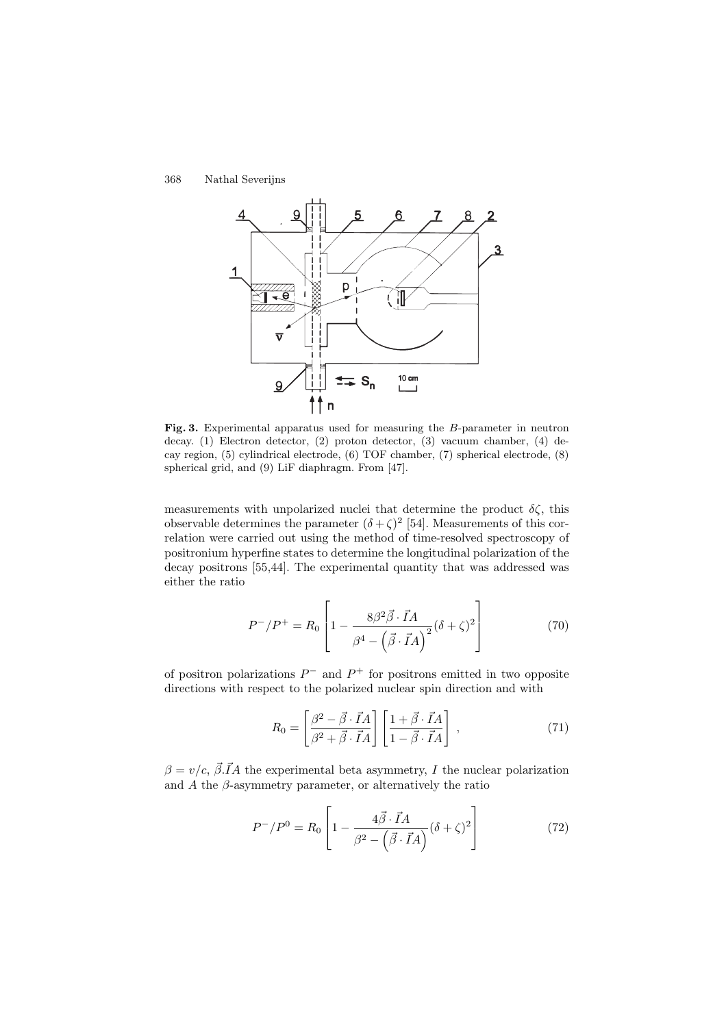

**Fig. 3.** Experimental apparatus used for measuring the B-parameter in neutron decay. (1) Electron detector, (2) proton detector, (3) vacuum chamber, (4) decay region, (5) cylindrical electrode, (6) TOF chamber, (7) spherical electrode, (8) spherical grid, and (9) LiF diaphragm. From [47].

measurements with unpolarized nuclei that determine the product  $\delta \zeta$ , this observable determines the parameter  $(\delta + \zeta)^2$  [54]. Measurements of this correlation were carried out using the method of time-resolved spectroscopy of positronium hyperfine states to determine the longitudinal polarization of the decay positrons [55,44]. The experimental quantity that was addressed was either the ratio

$$
P^{-}/P^{+} = R_{0} \left[ 1 - \frac{8\beta^{2}\vec{\beta} \cdot \vec{I}A}{\beta^{4} - (\vec{\beta} \cdot \vec{I}A)^{2}} (\delta + \zeta)^{2} \right]
$$
(70)

of positron polarizations  $P^-$  and  $P^+$  for positrons emitted in two opposite directions with respect to the polarized nuclear spin direction and with

$$
R_0 = \left[\frac{\beta^2 - \vec{\beta} \cdot \vec{I}A}{\beta^2 + \vec{\beta} \cdot \vec{I}A}\right] \left[\frac{1 + \vec{\beta} \cdot \vec{I}A}{1 - \vec{\beta} \cdot \vec{I}A}\right],
$$
\n(71)

 $\beta = v/c$ ,  $\vec{\beta} \cdot \vec{I}A$  the experimental beta asymmetry, I the nuclear polarization and  $A$  the  $\beta$ -asymmetry parameter, or alternatively the ratio

$$
P^{-}/P^{0} = R_{0} \left[ 1 - \frac{4\vec{\beta} \cdot \vec{I}A}{\beta^{2} - (\vec{\beta} \cdot \vec{I}A)} (\delta + \zeta)^{2} \right]
$$
(72)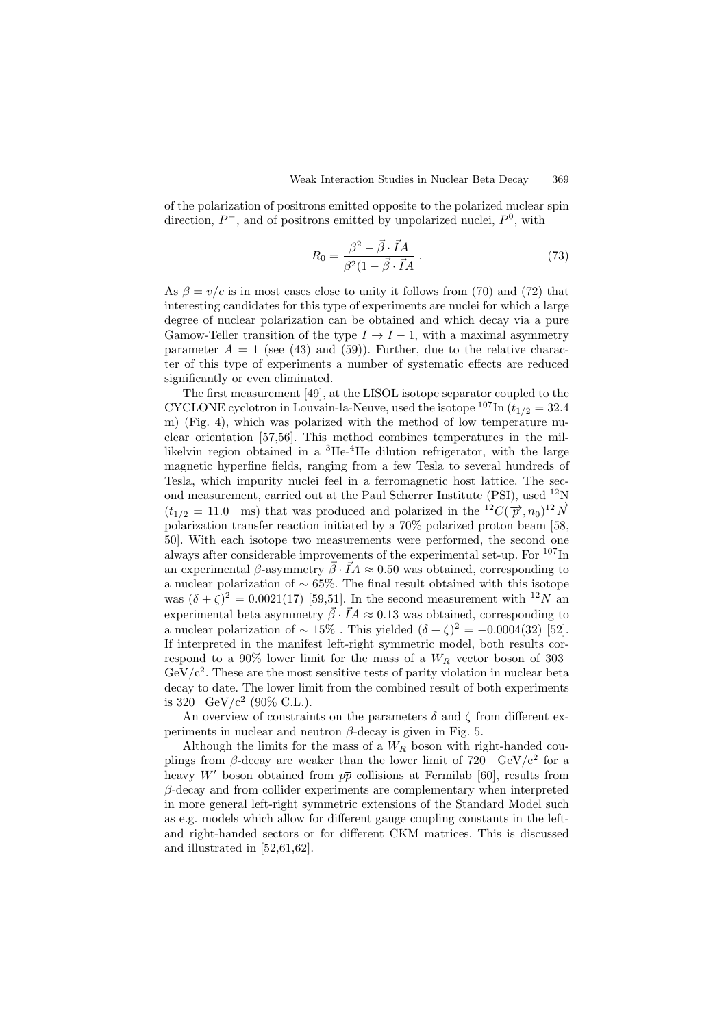of the polarization of positrons emitted opposite to the polarized nuclear spin direction,  $P^-$ , and of positrons emitted by unpolarized nuclei,  $P^0$ , with

$$
R_0 = \frac{\beta^2 - \vec{\beta} \cdot \vec{I}A}{\beta^2 (1 - \vec{\beta} \cdot \vec{I}A)}.
$$
\n(73)

As  $\beta = v/c$  is in most cases close to unity it follows from (70) and (72) that interesting candidates for this type of experiments are nuclei for which a large degree of nuclear polarization can be obtained and which decay via a pure Gamow-Teller transition of the type  $I \rightarrow I - 1$ , with a maximal asymmetry parameter  $A = 1$  (see (43) and (59)). Further, due to the relative character of this type of experiments a number of systematic effects are reduced significantly or even eliminated.

The first measurement [49], at the LISOL isotope separator coupled to the CYCLONE cyclotron in Louvain-la-Neuve, used the isotope  ${}^{107}\text{In}$  ( $t_{1/2} = 32.4$ ) m) (Fig. 4), which was polarized with the method of low temperature nuclear orientation [57,56]. This method combines temperatures in the millikelvin region obtained in a <sup>3</sup>He-<sup>4</sup>He dilution refrigerator, with the large magnetic hyperfine fields, ranging from a few Tesla to several hundreds of Tesla, which impurity nuclei feel in a ferromagnetic host lattice. The second measurement, carried out at the Paul Scherrer Institute (PSI), used  $^{12}N$  $(t_{1/2} = 11.0$  ms) that was produced and polarized in the  ${}^{12}C(\overrightarrow{p}, n_0)^{12}\overrightarrow{N}$ polarization transfer reaction initiated by a 70% polarized proton beam [58, 50]. With each isotope two measurements were performed, the second one always after considerable improvements of the experimental set-up. For <sup>107</sup>In an experimental β-asymmetry  $\vec{\beta} \cdot \vec{I}A \approx 0.50$  was obtained, corresponding to a nuclear polarization of ∼ 65%. The final result obtained with this isotope was  $(\delta + \zeta)^2 = 0.0021(17)$  [59,51]. In the second measurement with  $^{12}N$  an experimental beta asymmetry  $\vec{\beta} \cdot \vec{I}A \approx 0.13$  was obtained, corresponding to a nuclear polarization of  $\sim 15\%$ . This yielded  $(\delta + \zeta)^2 = -0.0004(32)$  [52]. If interpreted in the manifest left-right symmetric model, both results correspond to a 90% lower limit for the mass of a  $W_R$  vector boson of 303  $GeV/c^2$ . These are the most sensitive tests of parity violation in nuclear beta decay to date. The lower limit from the combined result of both experiments is 320  $\text{GeV}/c^2$  (90% C.L.).

An overview of constraints on the parameters  $\delta$  and  $\zeta$  from different experiments in nuclear and neutron  $\beta$ -decay is given in Fig. 5.

Although the limits for the mass of a  $W_R$  boson with right-handed couplings from  $\beta$ -decay are weaker than the lower limit of 720 GeV/c<sup>2</sup> for a heavy W' boson obtained from  $p\bar{p}$  collisions at Fermilab [60], results from  $\beta$ -decay and from collider experiments are complementary when interpreted in more general left-right symmetric extensions of the Standard Model such as e.g. models which allow for different gauge coupling constants in the leftand right-handed sectors or for different CKM matrices. This is discussed and illustrated in [52,61,62].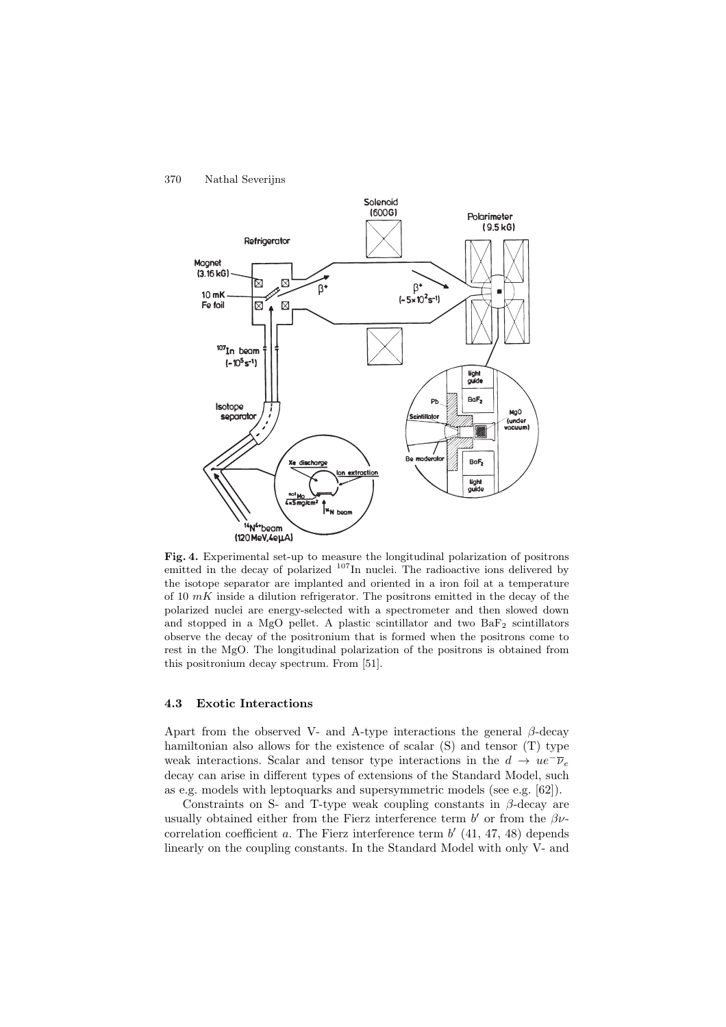

**Fig. 4.** Experimental set-up to measure the longitudinal polarization of positrons emitted in the decay of polarized  $107$ In nuclei. The radioactive ions delivered by the isotope separator are implanted and oriented in a iron foil at a temperature of 10  $mK$  inside a dilution refrigerator. The positrons emitted in the decay of the polarized nuclei are energy-selected with a spectrometer and then slowed down and stopped in a MgO pellet. A plastic scintillator and two  $BaF<sub>2</sub>$  scintillators observe the decay of the positronium that is formed when the positrons come to rest in the MgO. The longitudinal polarization of the positrons is obtained from this positronium decay spectrum. From [51].

## **4.3 Exotic Interactions**

Apart from the observed V- and A-type interactions the general  $\beta$ -decay hamiltonian also allows for the existence of scalar  $(S)$  and tensor  $(T)$  type weak interactions. Scalar and tensor type interactions in the  $d \rightarrow ue^-\overline{\nu}_e$ decay can arise in different types of extensions of the Standard Model, such as e.g. models with leptoquarks and supersymmetric models (see e.g. [62]).

Constraints on S- and T-type weak coupling constants in  $\beta$ -decay are usually obtained either from the Fierz interference term b' or from the  $\beta\nu$ correlation coefficient a. The Fierz interference term  $b'$  (41, 47, 48) depends linearly on the coupling constants. In the Standard Model with only V- and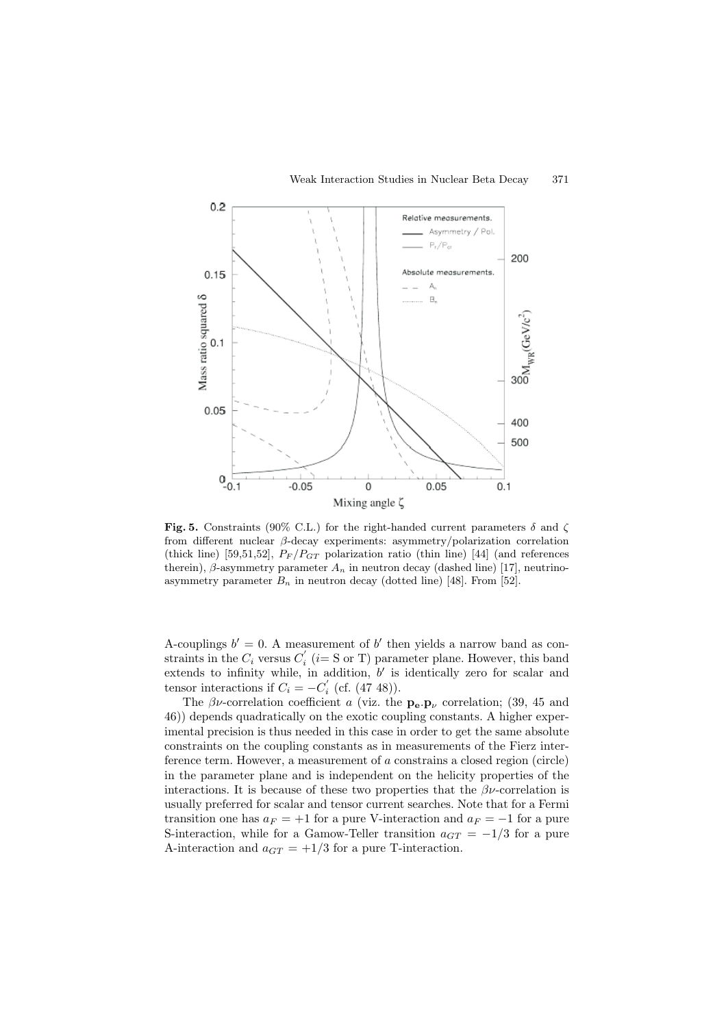

**Fig. 5.** Constraints (90% C.L.) for the right-handed current parameters  $\delta$  and  $\zeta$ from different nuclear β-decay experiments: asymmetry/polarization correlation (thick line) [59,51,52],  $P_F/P_{GT}$  polarization ratio (thin line) [44] (and references therein),  $\beta$ -asymmetry parameter  $A_n$  in neutron decay (dashed line) [17], neutrinoasymmetry parameter  $B_n$  in neutron decay (dotted line) [48]. From [52].

A-couplings  $b' = 0$ . A measurement of b' then yields a narrow band as constraints in the  $C_i$  versus  $C'_i$  (*i*= S or T) parameter plane. However, this band extends to infinity while, in addition,  $b'$  is identically zero for scalar and tensor interactions if  $C_i = -C_i'$  (cf. (47 48)).

The  $\beta \nu$ -correlation coefficient a (viz. the  $\mathbf{p}_e \cdot \mathbf{p}_\nu$  correlation; (39, 45 and 46)) depends quadratically on the exotic coupling constants. A higher experimental precision is thus needed in this case in order to get the same absolute constraints on the coupling constants as in measurements of the Fierz interference term. However, a measurement of a constrains a closed region (circle) in the parameter plane and is independent on the helicity properties of the interactions. It is because of these two properties that the  $\beta \nu$ -correlation is usually preferred for scalar and tensor current searches. Note that for a Fermi transition one has  $a_F = +1$  for a pure V-interaction and  $a_F = -1$  for a pure S-interaction, while for a Gamow-Teller transition  $a_{GT} = -1/3$  for a pure A-interaction and  $a_{GT} = +1/3$  for a pure T-interaction.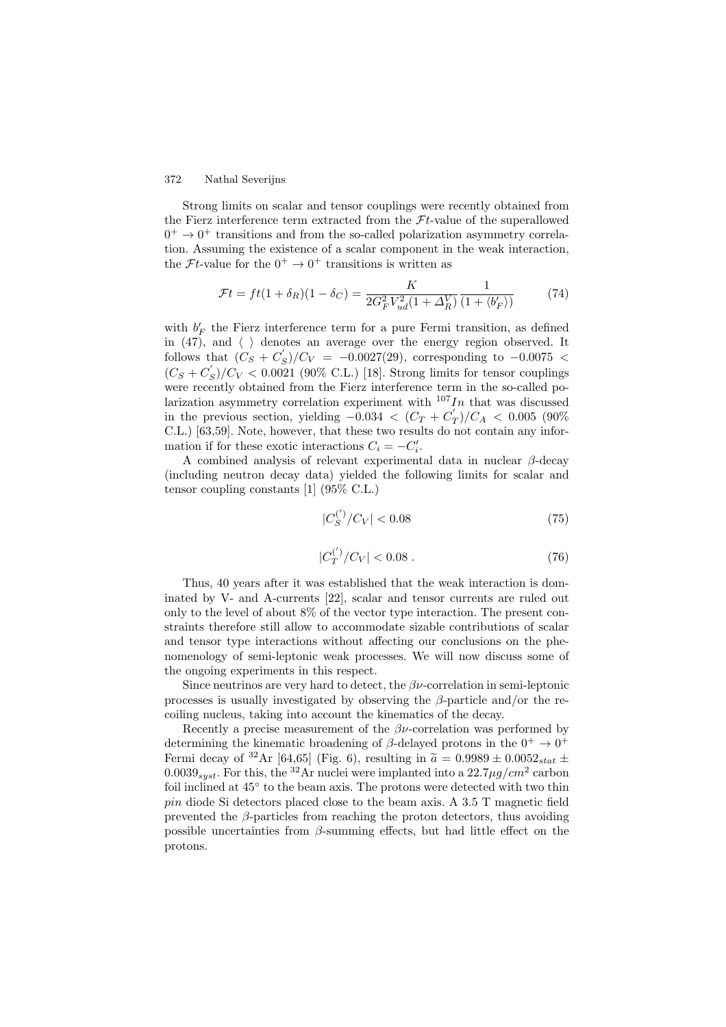Strong limits on scalar and tensor couplings were recently obtained from the Fierz interference term extracted from the  $\mathcal{F}t$ -value of the superallowed  $0^+ \rightarrow 0^+$  transitions and from the so-called polarization asymmetry correlation. Assuming the existence of a scalar component in the weak interaction, the  $\mathcal{F}t$ -value for the  $0^+ \rightarrow 0^+$  transitions is written as

$$
\mathcal{F}t = ft(1 + \delta_R)(1 - \delta_C) = \frac{K}{2G_F^2 V_{ud}^2 (1 + \Delta_R^V)} \frac{1}{(1 + \langle b_F' \rangle)}\tag{74}
$$

with  $b'_F$  the Fierz interference term for a pure Fermi transition, as defined in  $(47)$ , and  $\langle \rangle$  denotes an average over the energy region observed. It follows that  $(C_S + C_S')/C_V = -0.0027(29)$ , corresponding to  $-0.0075 <$  $(C_S + C_S')/C_V < 0.0021$  (90% C.L.) [18]. Strong limits for tensor couplings were recently obtained from the Fierz interference term in the so-called polarization asymmetry correlation experiment with  $107In$  that was discussed in the previous section, yielding  $-0.034 < (C_T + C'_T)/C_A < 0.005$  (90%) C.L.) [63,59]. Note, however, that these two results do not contain any information if for these exotic interactions  $C_i = -C'_i$ .

A combined analysis of relevant experimental data in nuclear  $\beta$ -decay (including neutron decay data) yielded the following limits for scalar and tensor coupling constants [1] (95% C.L.)

$$
|C_{S}^{(')}/C_{V}| < 0.08 \tag{75}
$$

$$
|C_T^{(')}/C_V| < 0.08 \tag{76}
$$

Thus, 40 years after it was established that the weak interaction is dominated by V- and A-currents [22], scalar and tensor currents are ruled out only to the level of about 8% of the vector type interaction. The present constraints therefore still allow to accommodate sizable contributions of scalar and tensor type interactions without affecting our conclusions on the phenomenology of semi-leptonic weak processes. We will now discuss some of the ongoing experiments in this respect.

Since neutrinos are very hard to detect, the  $\beta \nu$ -correlation in semi-leptonic processes is usually investigated by observing the  $\beta$ -particle and/or the recoiling nucleus, taking into account the kinematics of the decay.

Recently a precise measurement of the  $\beta \nu$ -correlation was performed by determining the kinematic broadening of  $\beta$ -delayed protons in the  $0^+ \rightarrow 0^+$ Fermi decay of <sup>32</sup>Ar [64,65] (Fig. 6), resulting in  $\tilde{a} = 0.9989 \pm 0.0052_{stat} \pm 0.0052_{stat}$  $0.0039<sub>syst</sub>$ . For this, the <sup>32</sup>Ar nuclei were implanted into a 22.7 $\mu$ g/cm<sup>2</sup> carbon foil inclined at 45◦ to the beam axis. The protons were detected with two thin pin diode Si detectors placed close to the beam axis. A 3.5 T magnetic field prevented the  $\beta$ -particles from reaching the proton detectors, thus avoiding possible uncertainties from  $\beta$ -summing effects, but had little effect on the protons.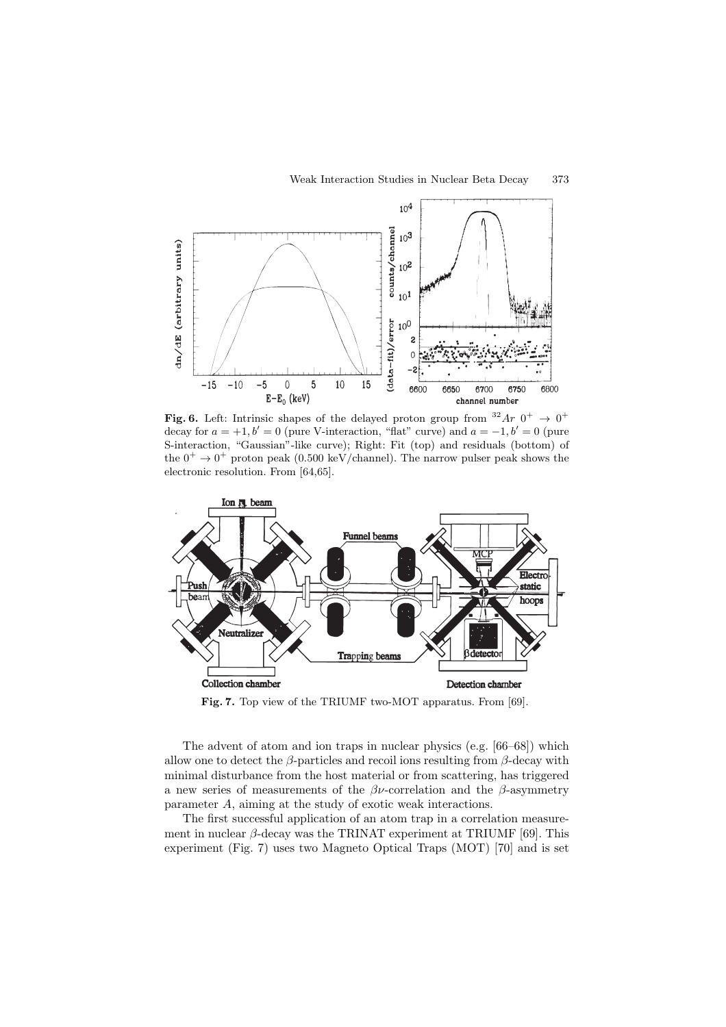

**Fig. 6.** Left: Intrinsic shapes of the delayed proton group from  ${}^{32}Ar$   $0^+ \rightarrow 0^+$ decay for  $a = +1, b' = 0$  (pure V-interaction, "flat" curve) and  $a = -1, b' = 0$  (pure S-interaction, "Gaussian"-like curve); Right: Fit (top) and residuals (bottom) of the  $0^+ \rightarrow 0^+$  proton peak (0.500 keV/channel). The narrow pulser peak shows the electronic resolution. From [64,65].



**Fig. 7.** Top view of the TRIUMF two-MOT apparatus. From [69].

The advent of atom and ion traps in nuclear physics (e.g. [66–68]) which allow one to detect the  $\beta$ -particles and recoil ions resulting from  $\beta$ -decay with minimal disturbance from the host material or from scattering, has triggered a new series of measurements of the  $\beta \nu$ -correlation and the  $\beta$ -asymmetry parameter A, aiming at the study of exotic weak interactions.

The first successful application of an atom trap in a correlation measurement in nuclear  $\beta$ -decay was the TRINAT experiment at TRIUMF [69]. This experiment (Fig. 7) uses two Magneto Optical Traps (MOT) [70] and is set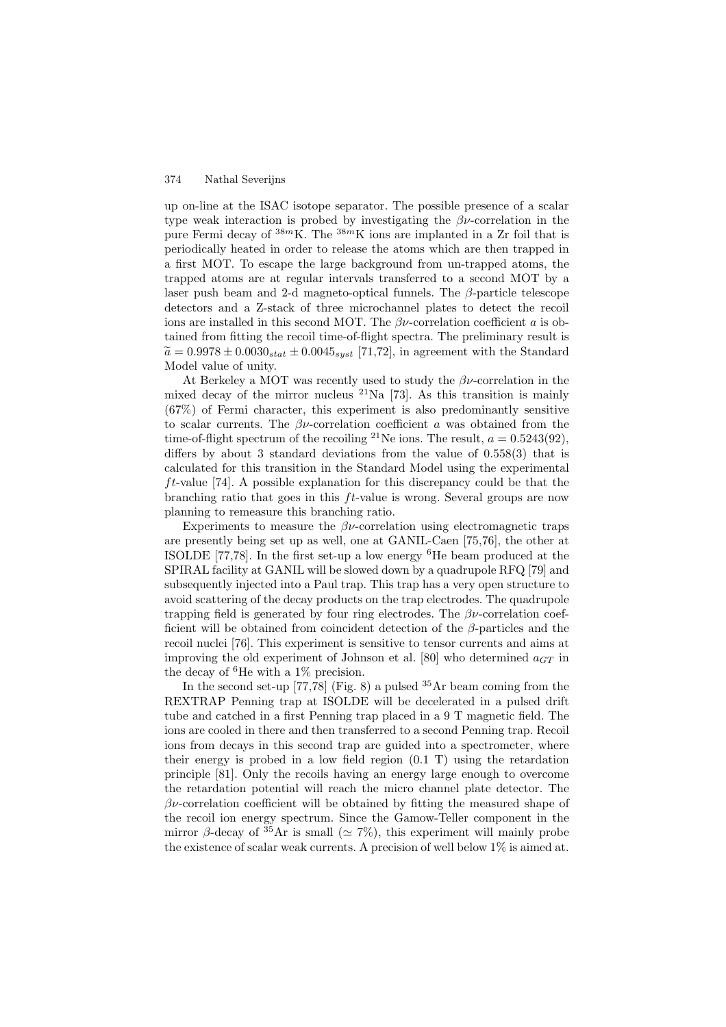up on-line at the ISAC isotope separator. The possible presence of a scalar type weak interaction is probed by investigating the  $\beta \nu$ -correlation in the pure Fermi decay of  $38mK$ . The  $38mK$  ions are implanted in a Zr foil that is periodically heated in order to release the atoms which are then trapped in a first MOT. To escape the large background from un-trapped atoms, the trapped atoms are at regular intervals transferred to a second MOT by a laser push beam and 2-d magneto-optical funnels. The  $\beta$ -particle telescope detectors and a Z-stack of three microchannel plates to detect the recoil ions are installed in this second MOT. The  $\beta \nu$ -correlation coefficient a is obtained from fitting the recoil time-of-flight spectra. The preliminary result is  $\widetilde{a} = 0.9978 \pm 0.0030_{stat} \pm 0.0045_{syst}$  [71,72], in agreement with the Standard Model value of unity.

At Berkeley a MOT was recently used to study the  $\beta\nu$ -correlation in the mixed decay of the mirror nucleus  $^{21}$ Na [73]. As this transition is mainly (67%) of Fermi character, this experiment is also predominantly sensitive to scalar currents. The  $\beta \nu$ -correlation coefficient a was obtained from the time-of-flight spectrum of the recoiling <sup>21</sup>Ne ions. The result,  $a = 0.5243(92)$ , differs by about 3 standard deviations from the value of 0.558(3) that is calculated for this transition in the Standard Model using the experimental f t-value [74]. A possible explanation for this discrepancy could be that the branching ratio that goes in this  $ft$ -value is wrong. Several groups are now planning to remeasure this branching ratio.

Experiments to measure the  $\beta \nu$ -correlation using electromagnetic traps are presently being set up as well, one at GANIL-Caen [75,76], the other at ISOLDE [77,78]. In the first set-up a low energy  ${}^{6}$ He beam produced at the SPIRAL facility at GANIL will be slowed down by a quadrupole RFQ [79] and subsequently injected into a Paul trap. This trap has a very open structure to avoid scattering of the decay products on the trap electrodes. The quadrupole trapping field is generated by four ring electrodes. The  $\beta\nu$ -correlation coefficient will be obtained from coincident detection of the  $\beta$ -particles and the recoil nuclei [76]. This experiment is sensitive to tensor currents and aims at improving the old experiment of Johnson et al. [80] who determined  $a_{GT}$  in the decay of  ${}^{6}$ He with a 1\% precision.

In the second set-up [77,78] (Fig. 8) a pulsed  $35$  Ar beam coming from the REXTRAP Penning trap at ISOLDE will be decelerated in a pulsed drift tube and catched in a first Penning trap placed in a 9 T magnetic field. The ions are cooled in there and then transferred to a second Penning trap. Recoil ions from decays in this second trap are guided into a spectrometer, where their energy is probed in a low field region (0.1 T) using the retardation principle [81]. Only the recoils having an energy large enough to overcome the retardation potential will reach the micro channel plate detector. The  $\beta\nu$ -correlation coefficient will be obtained by fitting the measured shape of the recoil ion energy spectrum. Since the Gamow-Teller component in the mirror  $\beta$ -decay of <sup>35</sup>Ar is small ( $\simeq 7\%$ ), this experiment will mainly probe the existence of scalar weak currents. A precision of well below 1% is aimed at.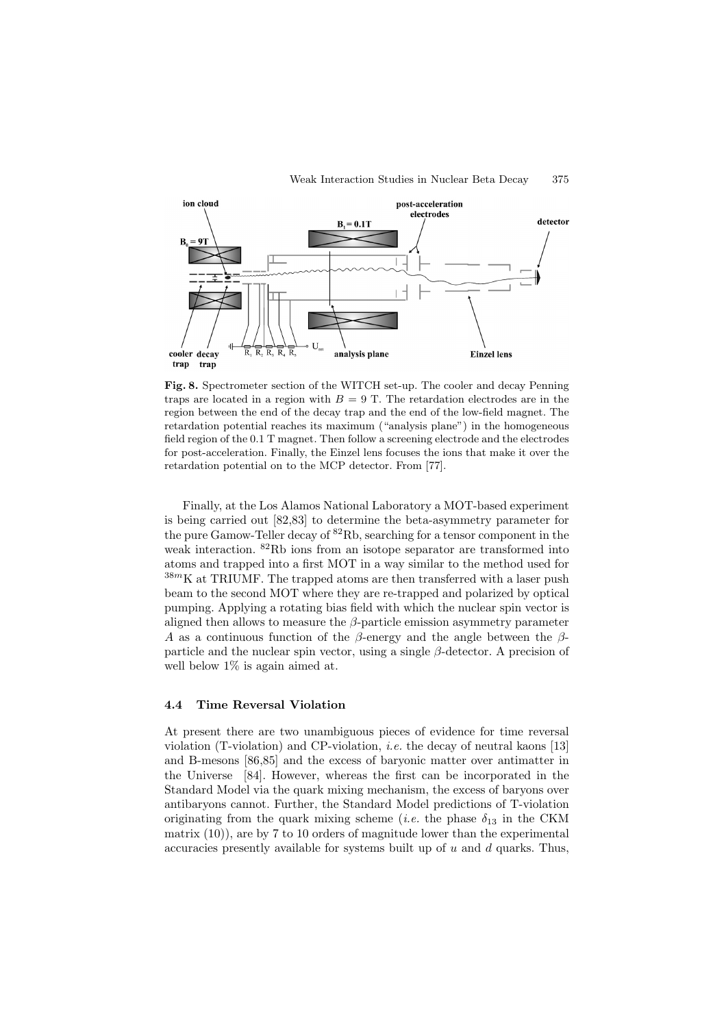

**Fig. 8.** Spectrometer section of the WITCH set-up. The cooler and decay Penning traps are located in a region with  $B = 9$  T. The retardation electrodes are in the region between the end of the decay trap and the end of the low-field magnet. The retardation potential reaches its maximum ("analysis plane") in the homogeneous field region of the 0.1 T magnet. Then follow a screening electrode and the electrodes for post-acceleration. Finally, the Einzel lens focuses the ions that make it over the retardation potential on to the MCP detector. From [77].

Finally, at the Los Alamos National Laboratory a MOT-based experiment is being carried out [82,83] to determine the beta-asymmetry parameter for the pure Gamow-Teller decay of  ${}^{82}$ Rb, searching for a tensor component in the weak interaction. <sup>82</sup>Rb ions from an isotope separator are transformed into atoms and trapped into a first MOT in a way similar to the method used for  $38m<sub>K</sub>$  at TRIUMF. The trapped atoms are then transferred with a laser push beam to the second MOT where they are re-trapped and polarized by optical pumping. Applying a rotating bias field with which the nuclear spin vector is aligned then allows to measure the  $\beta$ -particle emission asymmetry parameter A as a continuous function of the β-energy and the angle between the  $\beta$ particle and the nuclear spin vector, using a single  $\beta$ -detector. A precision of well below  $1\%$  is again aimed at.

#### **4.4 Time Reversal Violation**

At present there are two unambiguous pieces of evidence for time reversal violation (T-violation) and CP-violation, *i.e.* the decay of neutral kaons [13] and B-mesons [86,85] and the excess of baryonic matter over antimatter in the Universe [84]. However, whereas the first can be incorporated in the Standard Model via the quark mixing mechanism, the excess of baryons over antibaryons cannot. Further, the Standard Model predictions of T-violation originating from the quark mixing scheme (*i.e.* the phase  $\delta_{13}$  in the CKM matrix (10)), are by 7 to 10 orders of magnitude lower than the experimental accuracies presently available for systems built up of  $u$  and  $d$  quarks. Thus,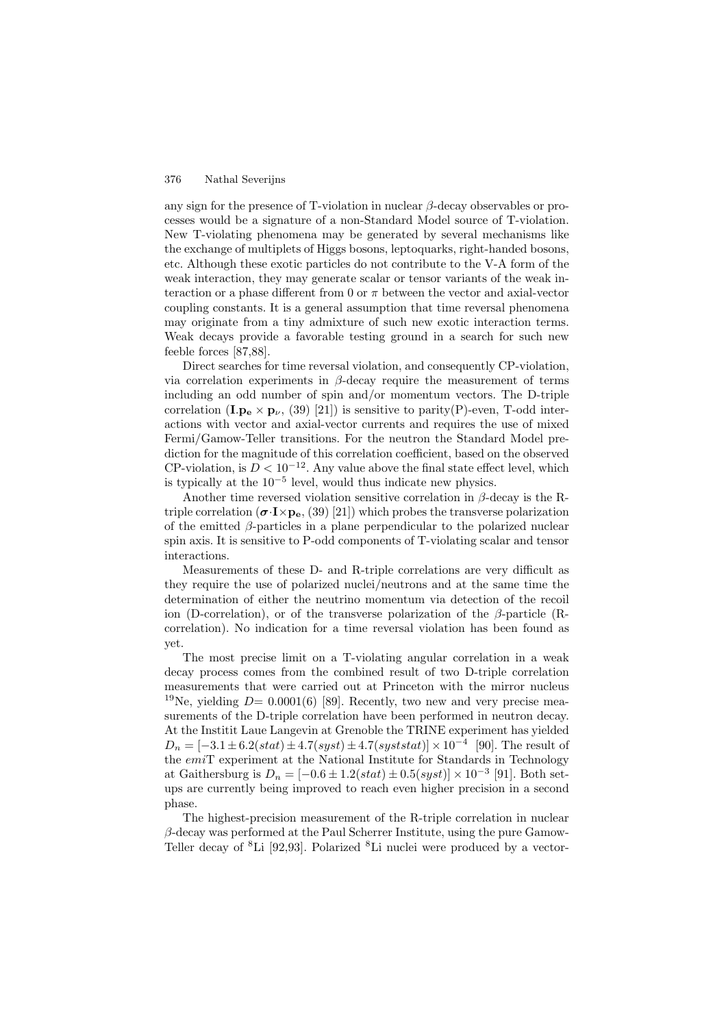any sign for the presence of T-violation in nuclear  $\beta$ -decay observables or processes would be a signature of a non-Standard Model source of T-violation. New T-violating phenomena may be generated by several mechanisms like the exchange of multiplets of Higgs bosons, leptoquarks, right-handed bosons, etc. Although these exotic particles do not contribute to the V-A form of the weak interaction, they may generate scalar or tensor variants of the weak interaction or a phase different from 0 or  $\pi$  between the vector and axial-vector coupling constants. It is a general assumption that time reversal phenomena may originate from a tiny admixture of such new exotic interaction terms. Weak decays provide a favorable testing ground in a search for such new feeble forces [87,88].

Direct searches for time reversal violation, and consequently CP-violation, via correlation experiments in β-decay require the measurement of terms including an odd number of spin and/or momentum vectors. The D-triple correlation  $(\mathbf{I}.\mathbf{p}_e \times \mathbf{p}_v, (39)$  [21]) is sensitive to parity(P)-even, T-odd interactions with vector and axial-vector currents and requires the use of mixed Fermi/Gamow-Teller transitions. For the neutron the Standard Model prediction for the magnitude of this correlation coefficient, based on the observed CP-violation, is  $D < 10^{-12}$ . Any value above the final state effect level, which is typically at the  $10^{-5}$  level, would thus indicate new physics.

Another time reversed violation sensitive correlation in  $\beta$ -decay is the Rtriple correlation  $(\boldsymbol{\sigma} \cdot \mathbf{I} \times \mathbf{p_e}, (39)$  [21]) which probes the transverse polarization of the emitted  $\beta$ -particles in a plane perpendicular to the polarized nuclear spin axis. It is sensitive to P-odd components of T-violating scalar and tensor interactions.

Measurements of these D- and R-triple correlations are very difficult as they require the use of polarized nuclei/neutrons and at the same time the determination of either the neutrino momentum via detection of the recoil ion (D-correlation), or of the transverse polarization of the  $\beta$ -particle (Rcorrelation). No indication for a time reversal violation has been found as yet.

The most precise limit on a T-violating angular correlation in a weak decay process comes from the combined result of two D-triple correlation measurements that were carried out at Princeton with the mirror nucleus <sup>19</sup>Ne, yielding  $D= 0.0001(6)$  [89]. Recently, two new and very precise measurements of the D-triple correlation have been performed in neutron decay. At the Institit Laue Langevin at Grenoble the TRINE experiment has yielded  $D_n = [-3.1 \pm 6.2(stat) \pm 4.7(syst) \pm 4.7(syststat)] \times 10^{-4}$  [90]. The result of the emiT experiment at the National Institute for Standards in Technology at Gaithersburg is  $D_n = [-0.6 \pm 1.2(stat) \pm 0.5(syst)] \times 10^{-3}$  [91]. Both setups are currently being improved to reach even higher precision in a second phase.

The highest-precision measurement of the R-triple correlation in nuclear  $\beta$ -decay was performed at the Paul Scherrer Institute, using the pure Gamow-Teller decay of <sup>8</sup>Li [92,93]. Polarized <sup>8</sup>Li nuclei were produced by a vector-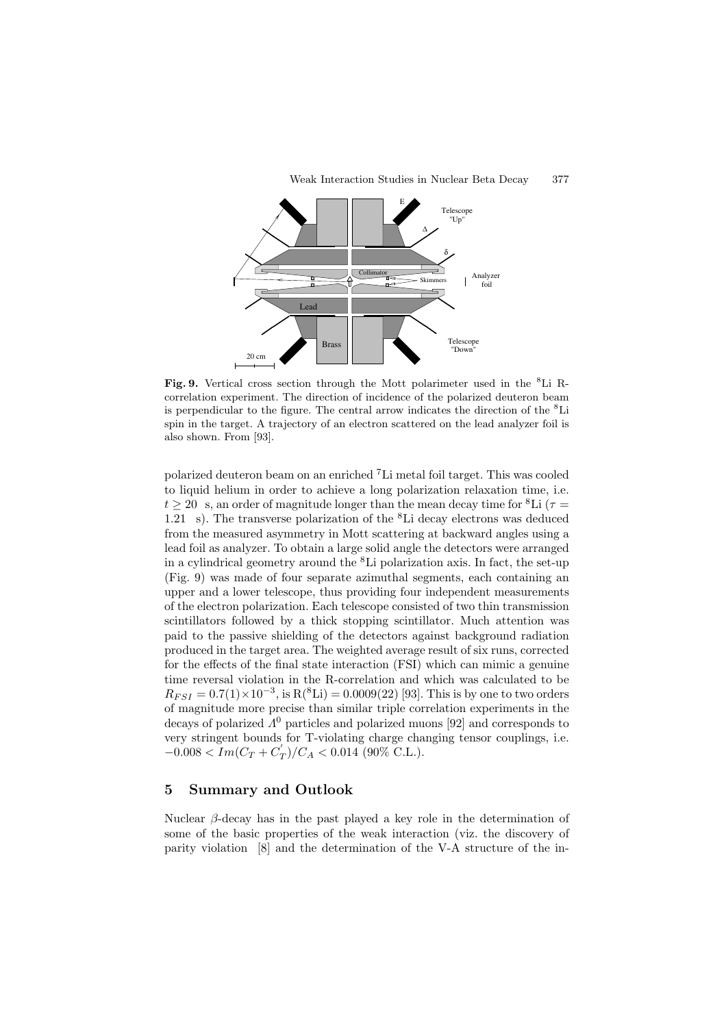

**Fig. 9.** Vertical cross section through the Mott polarimeter used in the <sup>8</sup>Li Rcorrelation experiment. The direction of incidence of the polarized deuteron beam is perpendicular to the figure. The central arrow indicates the direction of the <sup>8</sup>Li spin in the target. A trajectory of an electron scattered on the lead analyzer foil is also shown. From [93].

polarized deuteron beam on an enriched <sup>7</sup>Li metal foil target. This was cooled to liquid helium in order to achieve a long polarization relaxation time, i.e.  $t > 20$  s, an order of magnitude longer than the mean decay time for <sup>8</sup>Li ( $\tau =$ 1.21 s). The transverse polarization of the <sup>8</sup>Li decay electrons was deduced from the measured asymmetry in Mott scattering at backward angles using a lead foil as analyzer. To obtain a large solid angle the detectors were arranged in a cylindrical geometry around the  ${}^{8}$ Li polarization axis. In fact, the set-up (Fig. 9) was made of four separate azimuthal segments, each containing an upper and a lower telescope, thus providing four independent measurements of the electron polarization. Each telescope consisted of two thin transmission scintillators followed by a thick stopping scintillator. Much attention was paid to the passive shielding of the detectors against background radiation produced in the target area. The weighted average result of six runs, corrected for the effects of the final state interaction (FSI) which can mimic a genuine time reversal violation in the R-correlation and which was calculated to be  $R_{FSI} = 0.7(1) \times 10^{-3}$ , is R(<sup>8</sup>Li) = 0.0009(22) [93]. This is by one to two orders of magnitude more precise than similar triple correlation experiments in the decays of polarized  $\Lambda^0$  particles and polarized muons [92] and corresponds to very stringent bounds for T-violating charge changing tensor couplings, i.e.  $-0.008 < Im(C_T + C'_T)/C_A < 0.014$  (90% C.L.).

# **5 Summary and Outlook**

Nuclear  $\beta$ -decay has in the past played a key role in the determination of some of the basic properties of the weak interaction (viz. the discovery of parity violation [8] and the determination of the V-A structure of the in-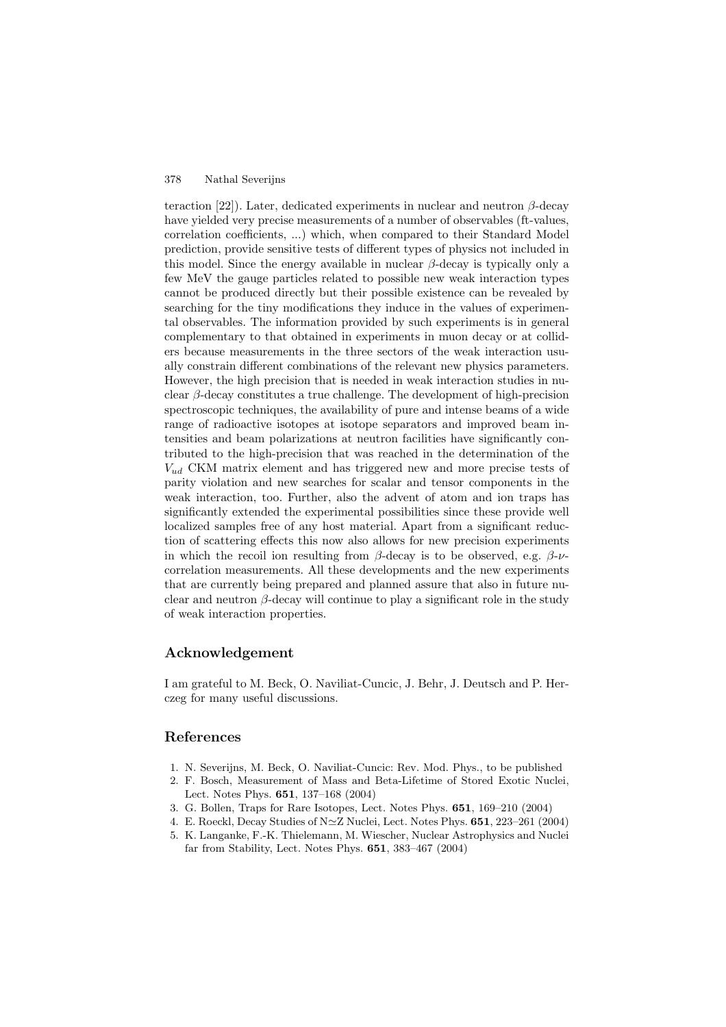teraction [22]). Later, dedicated experiments in nuclear and neutron  $\beta$ -decay have yielded very precise measurements of a number of observables (ft-values, correlation coefficients, ...) which, when compared to their Standard Model prediction, provide sensitive tests of different types of physics not included in this model. Since the energy available in nuclear  $\beta$ -decay is typically only a few MeV the gauge particles related to possible new weak interaction types cannot be produced directly but their possible existence can be revealed by searching for the tiny modifications they induce in the values of experimental observables. The information provided by such experiments is in general complementary to that obtained in experiments in muon decay or at colliders because measurements in the three sectors of the weak interaction usually constrain different combinations of the relevant new physics parameters. However, the high precision that is needed in weak interaction studies in nuclear  $\beta$ -decay constitutes a true challenge. The development of high-precision spectroscopic techniques, the availability of pure and intense beams of a wide range of radioactive isotopes at isotope separators and improved beam intensities and beam polarizations at neutron facilities have significantly contributed to the high-precision that was reached in the determination of the  $V_{ud}$  CKM matrix element and has triggered new and more precise tests of parity violation and new searches for scalar and tensor components in the weak interaction, too. Further, also the advent of atom and ion traps has significantly extended the experimental possibilities since these provide well localized samples free of any host material. Apart from a significant reduction of scattering effects this now also allows for new precision experiments in which the recoil ion resulting from  $\beta$ -decay is to be observed, e.g.  $\beta$ - $\nu$ correlation measurements. All these developments and the new experiments that are currently being prepared and planned assure that also in future nuclear and neutron  $\beta$ -decay will continue to play a significant role in the study of weak interaction properties.

# **Acknowledgement**

I am grateful to M. Beck, O. Naviliat-Cuncic, J. Behr, J. Deutsch and P. Herczeg for many useful discussions.

# **References**

- 1. N. Severijns, M. Beck, O. Naviliat-Cuncic: Rev. Mod. Phys., to be published
- 2. F. Bosch, Measurement of Mass and Beta-Lifetime of Stored Exotic Nuclei, Lect. Notes Phys. **651**, 137–168 (2004)
- 3. G. Bollen, Traps for Rare Isotopes, Lect. Notes Phys. **651**, 169–210 (2004)
- 4. E. Roeckl, Decay Studies of  $N \simeq Z$  Nuclei, Lect. Notes Phys.  $651$ , 223-261 (2004)
- 5. K. Langanke, F.-K. Thielemann, M. Wiescher, Nuclear Astrophysics and Nuclei far from Stability, Lect. Notes Phys. **651**, 383–467 (2004)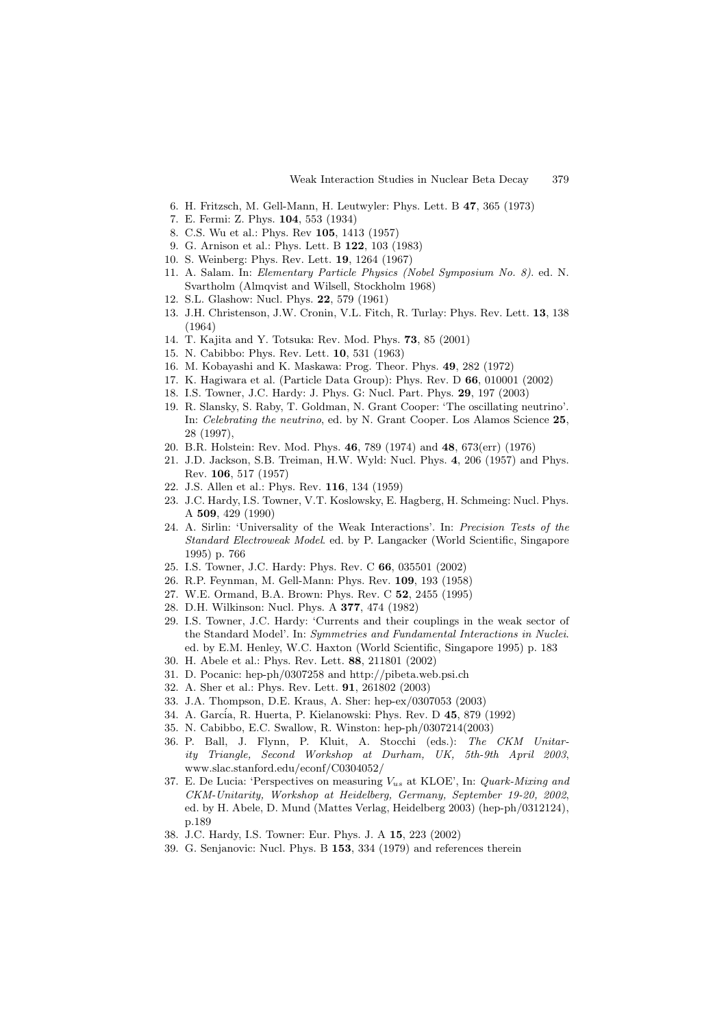- 6. H. Fritzsch, M. Gell-Mann, H. Leutwyler: Phys. Lett. B **47**, 365 (1973)
- 7. E. Fermi: Z. Phys. **104**, 553 (1934)
- 8. C.S. Wu et al.: Phys. Rev **105**, 1413 (1957)
- 9. G. Arnison et al.: Phys. Lett. B **122**, 103 (1983)
- 10. S. Weinberg: Phys. Rev. Lett. **19**, 1264 (1967)
- 11. A. Salam. In: Elementary Particle Physics (Nobel Symposium No. 8). ed. N. Svartholm (Almqvist and Wilsell, Stockholm 1968)
- 12. S.L. Glashow: Nucl. Phys. **22**, 579 (1961)
- 13. J.H. Christenson, J.W. Cronin, V.L. Fitch, R. Turlay: Phys. Rev. Lett. **13**, 138 (1964)
- 14. T. Kajita and Y. Totsuka: Rev. Mod. Phys. **73**, 85 (2001)
- 15. N. Cabibbo: Phys. Rev. Lett. **10**, 531 (1963)
- 16. M. Kobayashi and K. Maskawa: Prog. Theor. Phys. **49**, 282 (1972)
- 17. K. Hagiwara et al. (Particle Data Group): Phys. Rev. D **66**, 010001 (2002)
- 18. I.S. Towner, J.C. Hardy: J. Phys. G: Nucl. Part. Phys. **29**, 197 (2003)
- 19. R. Slansky, S. Raby, T. Goldman, N. Grant Cooper: 'The oscillating neutrino'. In: Celebrating the neutrino, ed. by N. Grant Cooper. Los Alamos Science **25**, 28 (1997),
- 20. B.R. Holstein: Rev. Mod. Phys. **46**, 789 (1974) and **48**, 673(err) (1976)
- 21. J.D. Jackson, S.B. Treiman, H.W. Wyld: Nucl. Phys. **4**, 206 (1957) and Phys. Rev. **106**, 517 (1957)
- 22. J.S. Allen et al.: Phys. Rev. **116**, 134 (1959)
- 23. J.C. Hardy, I.S. Towner, V.T. Koslowsky, E. Hagberg, H. Schmeing: Nucl. Phys. A **509**, 429 (1990)
- 24. A. Sirlin: 'Universality of the Weak Interactions'. In: Precision Tests of the Standard Electroweak Model. ed. by P. Langacker (World Scientific, Singapore 1995) p. 766
- 25. I.S. Towner, J.C. Hardy: Phys. Rev. C **66**, 035501 (2002)
- 26. R.P. Feynman, M. Gell-Mann: Phys. Rev. **109**, 193 (1958)
- 27. W.E. Ormand, B.A. Brown: Phys. Rev. C **52**, 2455 (1995)
- 28. D.H. Wilkinson: Nucl. Phys. A **377**, 474 (1982)
- 29. I.S. Towner, J.C. Hardy: 'Currents and their couplings in the weak sector of the Standard Model'. In: Symmetries and Fundamental Interactions in Nuclei. ed. by E.M. Henley, W.C. Haxton (World Scientific, Singapore 1995) p. 183
- 30. H. Abele et al.: Phys. Rev. Lett. **88**, 211801 (2002)
- 31. D. Pocanic: hep-ph/0307258 and http://pibeta.web.psi.ch
- 32. A. Sher et al.: Phys. Rev. Lett. **91**, 261802 (2003)
- 33. J.A. Thompson, D.E. Kraus, A. Sher: hep-ex/0307053 (2003)
- 34. A. Garc´ia, R. Huerta, P. Kielanowski: Phys. Rev. D **45**, 879 (1992)
- 35. N. Cabibbo, E.C. Swallow, R. Winston: hep-ph/0307214(2003)
- 36. P. Ball, J. Flynn, P. Kluit, A. Stocchi (eds.): The CKM Unitarity Triangle, Second Workshop at Durham, UK, 5th-9th April 2003, www.slac.stanford.edu/econf/C0304052/
- 37. E. De Lucia: 'Perspectives on measuring  $V_{us}$  at KLOE', In: *Quark-Mixing and* CKM-Unitarity, Workshop at Heidelberg, Germany, September 19-20, 2002, ed. by H. Abele, D. Mund (Mattes Verlag, Heidelberg 2003) (hep-ph/0312124), p.189
- 38. J.C. Hardy, I.S. Towner: Eur. Phys. J. A **15**, 223 (2002)
- 39. G. Senjanovic: Nucl. Phys. B **153**, 334 (1979) and references therein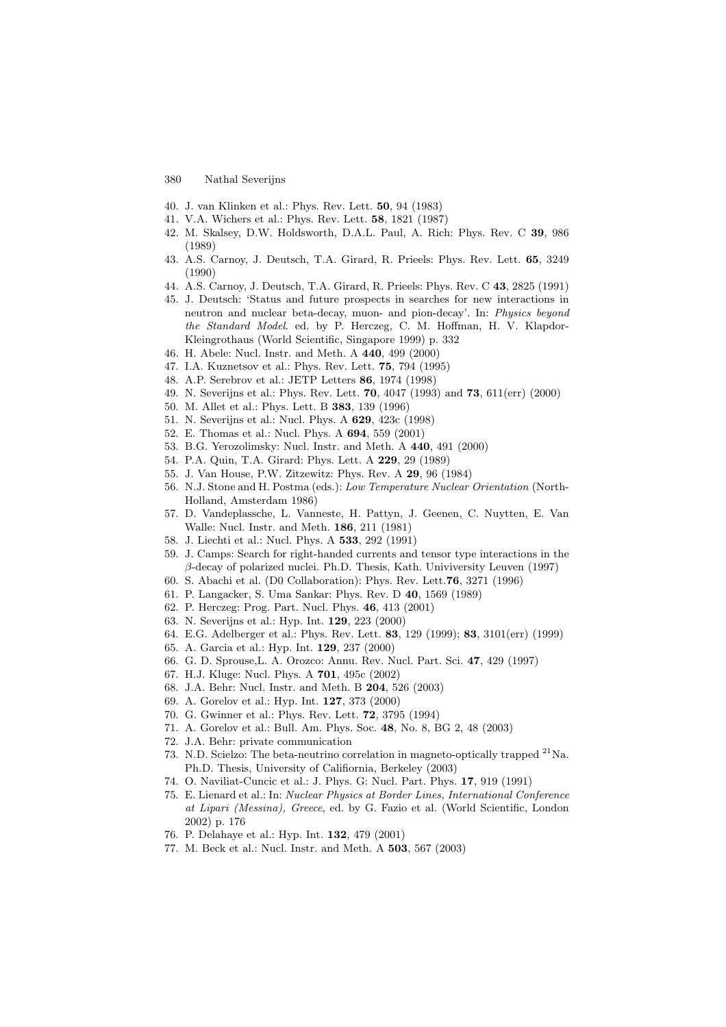- 40. J. van Klinken et al.: Phys. Rev. Lett. **50**, 94 (1983)
- 41. V.A. Wichers et al.: Phys. Rev. Lett. **58**, 1821 (1987)
- 42. M. Skalsey, D.W. Holdsworth, D.A.L. Paul, A. Rich: Phys. Rev. C **39**, 986 (1989)
- 43. A.S. Carnoy, J. Deutsch, T.A. Girard, R. Prieels: Phys. Rev. Lett. **65**, 3249 (1990)
- 44. A.S. Carnoy, J. Deutsch, T.A. Girard, R. Prieels: Phys. Rev. C **43**, 2825 (1991)
- 45. J. Deutsch: 'Status and future prospects in searches for new interactions in neutron and nuclear beta-decay, muon- and pion-decay'. In: Physics beyond the Standard Model. ed. by P. Herczeg, C. M. Hoffman, H. V. Klapdor-Kleingrothaus (World Scientific, Singapore 1999) p. 332
- 46. H. Abele: Nucl. Instr. and Meth. A **440**, 499 (2000)
- 47. I.A. Kuznetsov et al.: Phys. Rev. Lett. **75**, 794 (1995)
- 48. A.P. Serebrov et al.: JETP Letters **86**, 1974 (1998)
- 49. N. Severijns et al.: Phys. Rev. Lett. **70**, 4047 (1993) and **73**, 611(err) (2000)
- 50. M. Allet et al.: Phys. Lett. B **383**, 139 (1996)
- 51. N. Severijns et al.: Nucl. Phys. A **629**, 423c (1998)
- 52. E. Thomas et al.: Nucl. Phys. A **694**, 559 (2001)
- 53. B.G. Yerozolimsky: Nucl. Instr. and Meth. A **440**, 491 (2000)
- 54. P.A. Quin, T.A. Girard: Phys. Lett. A **229**, 29 (1989)
- 55. J. Van House, P.W. Zitzewitz: Phys. Rev. A **29**, 96 (1984)
- 56. N.J. Stone and H. Postma (eds.): Low Temperature Nuclear Orientation (North-Holland, Amsterdam 1986)
- 57. D. Vandeplassche, L. Vanneste, H. Pattyn, J. Geenen, C. Nuytten, E. Van Walle: Nucl. Instr. and Meth. **186**, 211 (1981)
- 58. J. Liechti et al.: Nucl. Phys. A **533**, 292 (1991)
- 59. J. Camps: Search for right-handed currents and tensor type interactions in the β-decay of polarized nuclei. Ph.D. Thesis, Kath. Univiversity Leuven (1997)
- 60. S. Abachi et al. (D0 Collaboration): Phys. Rev. Lett.**76**, 3271 (1996)
- 61. P. Langacker, S. Uma Sankar: Phys. Rev. D **40**, 1569 (1989)
- 62. P. Herczeg: Prog. Part. Nucl. Phys. **46**, 413 (2001)
- 63. N. Severijns et al.: Hyp. Int. **129**, 223 (2000)
- 64. E.G. Adelberger et al.: Phys. Rev. Lett. **83**, 129 (1999); **83**, 3101(err) (1999)
- 65. A. Garcia et al.: Hyp. Int. **129**, 237 (2000)
- 66. G. D. Sprouse,L. A. Orozco: Annu. Rev. Nucl. Part. Sci. **47**, 429 (1997)
- 67. H.J. Kluge: Nucl. Phys. A **701**, 495c (2002)
- 68. J.A. Behr: Nucl. Instr. and Meth. B **204**, 526 (2003)
- 69. A. Gorelov et al.: Hyp. Int. **127**, 373 (2000)
- 70. G. Gwinner et al.: Phys. Rev. Lett. **72**, 3795 (1994)
- 71. A. Gorelov et al.: Bull. Am. Phys. Soc. **48**, No. 8, BG 2, 48 (2003)
- 72. J.A. Behr: private communication
- 73. N.D. Scielzo: The beta-neutrino correlation in magneto-optically trapped  $^{21}$ Na. Ph.D. Thesis, University of Califiornia, Berkeley (2003)
- 74. O. Naviliat-Cuncic et al.: J. Phys. G: Nucl. Part. Phys. **17**, 919 (1991)
- 75. E. Lienard et al.: In: Nuclear Physics at Border Lines, International Conference at Lipari (Messina), Greece, ed. by G. Fazio et al. (World Scientific, London 2002) p. 176
- 76. P. Delahaye et al.: Hyp. Int. **132**, 479 (2001)
- 77. M. Beck et al.: Nucl. Instr. and Meth. A **503**, 567 (2003)